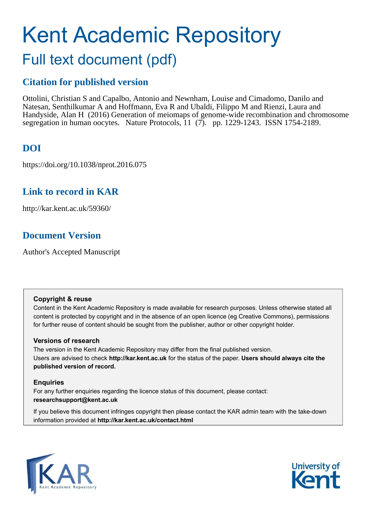# Kent Academic Repository Full text document (pdf)

# **Citation for published version**

Ottolini, Christian S and Capalbo, Antonio and Newnham, Louise and Cimadomo, Danilo and Natesan, Senthilkumar A and Hoffmann, Eva R and Ubaldi, Filippo M and Rienzi, Laura and Handyside, Alan H (2016) Generation of meiomaps of genome-wide recombination and chromosome segregation in human oocytes. Nature Protocols, 11 (7). pp. 1229-1243. ISSN 1754-2189.

# **DOI**

https://doi.org/10.1038/nprot.2016.075

# **Link to record in KAR**

http://kar.kent.ac.uk/59360/

# **Document Version**

Author's Accepted Manuscript

# **Copyright & reuse**

Content in the Kent Academic Repository is made available for research purposes. Unless otherwise stated all content is protected by copyright and in the absence of an open licence (eg Creative Commons), permissions for further reuse of content should be sought from the publisher, author or other copyright holder.

# **Versions of research**

The version in the Kent Academic Repository may differ from the final published version. Users are advised to check **http://kar.kent.ac.uk** for the status of the paper. **Users should always cite the published version of record.**

# **Enquiries**

For any further enquiries regarding the licence status of this document, please contact: **researchsupport@kent.ac.uk**

If you believe this document infringes copyright then please contact the KAR admin team with the take-down information provided at **http://kar.kent.ac.uk/contact.html**



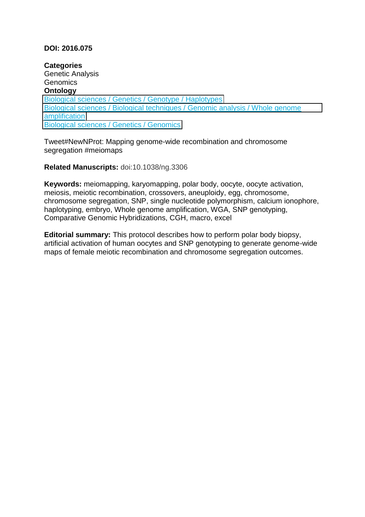# **DOI: 2016.075**

**Categories**  Genetic Analysis **Genomics Ontology**  [Biological sciences / Genetics / Genotype / Haplotypes](http://subjects.npd.nature.com/products/nprot#631/208/727/728) [Biological sciences / Biological techniques / Genomic analysis / Whole genome](http://subjects.npd.nature.com/products/nprot#631/1647/2217/2220)  [amplification](http://subjects.npd.nature.com/products/nprot#631/1647/2217/2220) [Biological sciences / Genetics / Genomics](http://subjects.npd.nature.com/products/nprot#631/208/212)

Tweet#NewNProt: Mapping genome-wide recombination and chromosome segregation #meiomaps

**Related Manuscripts:** doi:10.1038/ng.3306

**Keywords:** meiomapping, karyomapping, polar body, oocyte, oocyte activation, meiosis, meiotic recombination, crossovers, aneuploidy, egg, chromosome, chromosome segregation, SNP, single nucleotide polymorphism, calcium ionophore, haplotyping, embryo, Whole genome amplification, WGA, SNP genotyping, Comparative Genomic Hybridizations, CGH, macro, excel

**Editorial summary:** This protocol describes how to perform polar body biopsy, artificial activation of human oocytes and SNP genotyping to generate genome-wide maps of female meiotic recombination and chromosome segregation outcomes.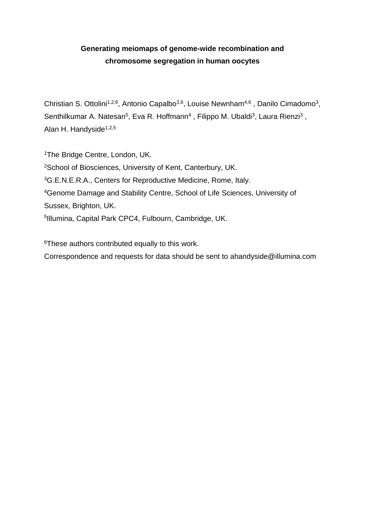# **Generating meiomaps of genome-wide recombination and chromosome segregation in human oocytes**

Christian S. Ottolini<sup>1,2,6</sup>, Antonio Capalbo<sup>3,6</sup>, Louise Newnham<sup>4,6</sup>, Danilo Cimadomo<sup>3</sup>, Senthilkumar A. Natesan<sup>5</sup>, Eva R. Hoffmann<sup>4</sup>, Filippo M. Ubaldi<sup>3</sup>, Laura Rienzi<sup>3</sup>, Alan H. Handyside<sup>1,2,5</sup>

<sup>1</sup>The Bridge Centre, London, UK. School of Biosciences, University of Kent, Canterbury, UK. G.E.N.E.R.A., Centers for Reproductive Medicine, Rome, Italy. Genome Damage and Stability Centre, School of Life Sciences, University of Sussex, Brighton, UK. Illumina, Capital Park CPC4, Fulbourn, Cambridge, UK.

<sup>6</sup>These authors contributed equally to this work.

Correspondence and requests for data should be sent to ahandyside@illumina.com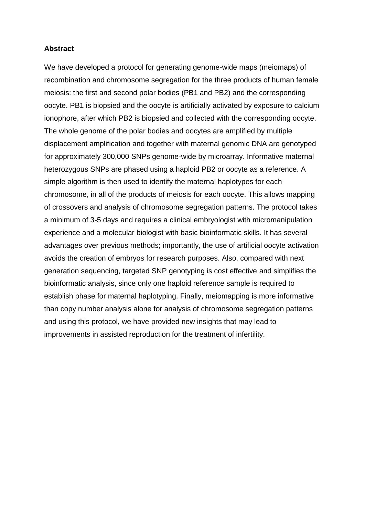# **Abstract**

We have developed a protocol for generating genome-wide maps (meiomaps) of recombination and chromosome segregation for the three products of human female meiosis: the first and second polar bodies (PB1 and PB2) and the corresponding oocyte. PB1 is biopsied and the oocyte is artificially activated by exposure to calcium ionophore, after which PB2 is biopsied and collected with the corresponding oocyte. The whole genome of the polar bodies and oocytes are amplified by multiple displacement amplification and together with maternal genomic DNA are genotyped for approximately 300,000 SNPs genome-wide by microarray. Informative maternal heterozygous SNPs are phased using a haploid PB2 or oocyte as a reference. A simple algorithm is then used to identify the maternal haplotypes for each chromosome, in all of the products of meiosis for each oocyte. This allows mapping of crossovers and analysis of chromosome segregation patterns. The protocol takes a minimum of 3-5 days and requires a clinical embryologist with micromanipulation experience and a molecular biologist with basic bioinformatic skills. It has several advantages over previous methods; importantly, the use of artificial oocyte activation avoids the creation of embryos for research purposes. Also, compared with next generation sequencing, targeted SNP genotyping is cost effective and simplifies the bioinformatic analysis, since only one haploid reference sample is required to establish phase for maternal haplotyping. Finally, meiomapping is more informative than copy number analysis alone for analysis of chromosome segregation patterns and using this protocol, we have provided new insights that may lead to improvements in assisted reproduction for the treatment of infertility.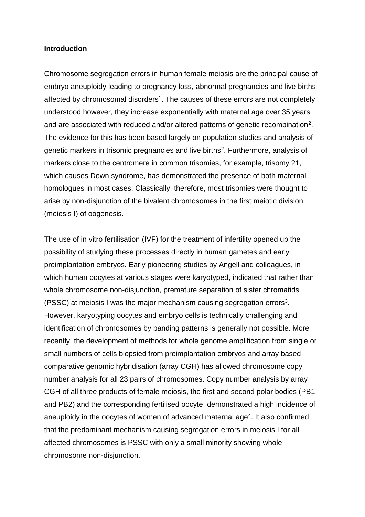#### **Introduction**

Chromosome segregation errors in human female meiosis are the principal cause of embryo aneuploidy leading to pregnancy loss, abnormal pregnancies and live births affected by chromosomal disorders<sup>1</sup>. The causes of these errors are not completely understood however, they increase exponentially with maternal age over 35 years and are associated with reduced and/or altered patterns of genetic recombination<sup>2</sup>. The evidence for this has been based largely on population studies and analysis of genetic markers in trisomic pregnancies and live births<sup>2</sup>. Furthermore, analysis of markers close to the centromere in common trisomies, for example, trisomy 21, which causes Down syndrome, has demonstrated the presence of both maternal homologues in most cases. Classically, therefore, most trisomies were thought to arise by non-disjunction of the bivalent chromosomes in the first meiotic division (meiosis I) of oogenesis.

The use of in vitro fertilisation (IVF) for the treatment of infertility opened up the possibility of studying these processes directly in human gametes and early preimplantation embryos. Early pioneering studies by Angell and colleagues, in which human oocytes at various stages were karyotyped, indicated that rather than whole chromosome non-disjunction, premature separation of sister chromatids (PSSC) at meiosis I was the major mechanism causing segregation errors<sup>3</sup> . However, karyotyping oocytes and embryo cells is technically challenging and identification of chromosomes by banding patterns is generally not possible. More recently, the development of methods for whole genome amplification from single or small numbers of cells biopsied from preimplantation embryos and array based comparative genomic hybridisation (array CGH) has allowed chromosome copy number analysis for all 23 pairs of chromosomes. Copy number analysis by array CGH of all three products of female meiosis, the first and second polar bodies (PB1 and PB2) and the corresponding fertilised oocyte, demonstrated a high incidence of aneuploidy in the oocytes of women of advanced maternal age<sup>4</sup>. It also confirmed that the predominant mechanism causing segregation errors in meiosis I for all affected chromosomes is PSSC with only a small minority showing whole chromosome non-disjunction.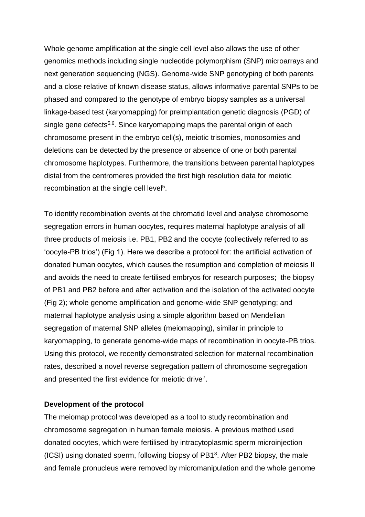Whole genome amplification at the single cell level also allows the use of other genomics methods including single nucleotide polymorphism (SNP) microarrays and next generation sequencing (NGS). Genome-wide SNP genotyping of both parents and a close relative of known disease status, allows informative parental SNPs to be phased and compared to the genotype of embryo biopsy samples as a universal linkage-based test (karyomapping) for preimplantation genetic diagnosis (PGD) of single gene defects<sup>5,6</sup>. Since karyomapping maps the parental origin of each chromosome present in the embryo cell(s), meiotic trisomies, monosomies and deletions can be detected by the presence or absence of one or both parental chromosome haplotypes. Furthermore, the transitions between parental haplotypes distal from the centromeres provided the first high resolution data for meiotic recombination at the single cell level<sup>5</sup>.

To identify recombination events at the chromatid level and analyse chromosome segregation errors in human oocytes, requires maternal haplotype analysis of all three products of meiosis i.e. PB1, PB2 and the oocyte (collectively referred to as 'oocyte-PB trios') (Fig 1). Here we describe a protocol for: the artificial activation of donated human oocytes, which causes the resumption and completion of meiosis II and avoids the need to create fertilised embryos for research purposes; the biopsy of PB1 and PB2 before and after activation and the isolation of the activated oocyte (Fig 2); whole genome amplification and genome-wide SNP genotyping; and maternal haplotype analysis using a simple algorithm based on Mendelian segregation of maternal SNP alleles (meiomapping), similar in principle to karyomapping, to generate genome-wide maps of recombination in oocyte-PB trios. Using this protocol, we recently demonstrated selection for maternal recombination rates, described a novel reverse segregation pattern of chromosome segregation and presented the first evidence for meiotic drive<sup>7</sup>.

# **Development of the protocol**

The meiomap protocol was developed as a tool to study recombination and chromosome segregation in human female meiosis. A previous method used donated oocytes, which were fertilised by intracytoplasmic sperm microinjection (ICSI) using donated sperm, following biopsy of PB1<sup>8</sup> . After PB2 biopsy, the male and female pronucleus were removed by micromanipulation and the whole genome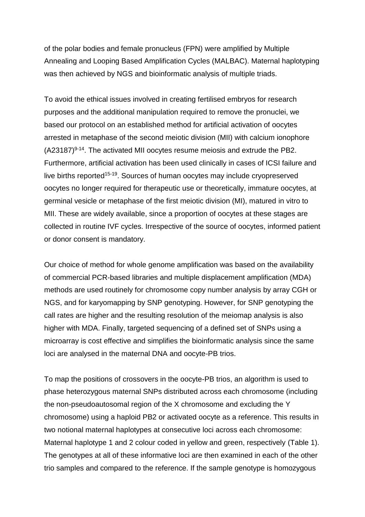of the polar bodies and female pronucleus (FPN) were amplified by Multiple Annealing and Looping Based Amplification Cycles (MALBAC). Maternal haplotyping was then achieved by NGS and bioinformatic analysis of multiple triads.

To avoid the ethical issues involved in creating fertilised embryos for research purposes and the additional manipulation required to remove the pronuclei, we based our protocol on an established method for artificial activation of oocytes arrested in metaphase of the second meiotic division (MII) with calcium ionophore  $(A23187)^{9.14}$ . The activated MII oocytes resume meiosis and extrude the PB2. Furthermore, artificial activation has been used clinically in cases of ICSI failure and live births reported<sup>15-19</sup>. Sources of human oocytes may include cryopreserved oocytes no longer required for therapeutic use or theoretically, immature oocytes, at germinal vesicle or metaphase of the first meiotic division (MI), matured in vitro to MII. These are widely available, since a proportion of oocytes at these stages are collected in routine IVF cycles. Irrespective of the source of oocytes, informed patient or donor consent is mandatory.

Our choice of method for whole genome amplification was based on the availability of commercial PCR-based libraries and multiple displacement amplification (MDA) methods are used routinely for chromosome copy number analysis by array CGH or NGS, and for karyomapping by SNP genotyping. However, for SNP genotyping the call rates are higher and the resulting resolution of the meiomap analysis is also higher with MDA. Finally, targeted sequencing of a defined set of SNPs using a microarray is cost effective and simplifies the bioinformatic analysis since the same loci are analysed in the maternal DNA and oocyte-PB trios.

To map the positions of crossovers in the oocyte-PB trios, an algorithm is used to phase heterozygous maternal SNPs distributed across each chromosome (including the non-pseudoautosomal region of the X chromosome and excluding the Y chromosome) using a haploid PB2 or activated oocyte as a reference. This results in two notional maternal haplotypes at consecutive loci across each chromosome: Maternal haplotype 1 and 2 colour coded in yellow and green, respectively (Table 1). The genotypes at all of these informative loci are then examined in each of the other trio samples and compared to the reference. If the sample genotype is homozygous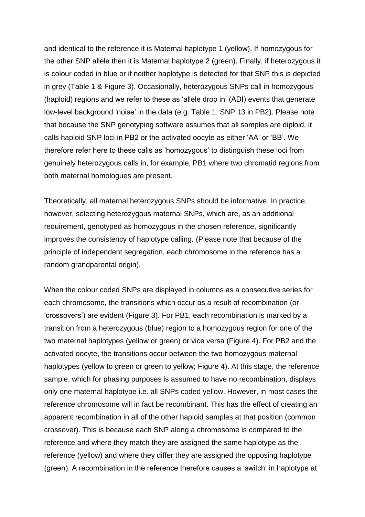and identical to the reference it is Maternal haplotype 1 (yellow). If homozygous for the other SNP allele then it is Maternal haplotype 2 (green). Finally, if heterozygous it is colour coded in blue or if neither haplotype is detected for that SNP this is depicted in grey (Table 1 & Figure 3). Occasionally, heterozygous SNPs call in homozygous (haploid) regions and we refer to these as 'allele drop in' (ADI) events that generate low-level background 'noise' in the data (e.g. Table 1: SNP 13 in PB2). Please note that because the SNP genotyping software assumes that all samples are diploid, it calls haploid SNP loci in PB2 or the activated oocyte as either 'AA' or 'BB'. We therefore refer here to these calls as 'homozygous' to distinguish these loci from genuinely heterozygous calls in, for example, PB1 where two chromatid regions from both maternal homologues are present.

Theoretically, all maternal heterozygous SNPs should be informative. In practice, however, selecting heterozygous maternal SNPs, which are, as an additional requirement, genotyped as homozygous in the chosen reference, significantly improves the consistency of haplotype calling. (Please note that because of the principle of independent segregation, each chromosome in the reference has a random grandparental origin).

When the colour coded SNPs are displayed in columns as a consecutive series for each chromosome, the transitions which occur as a result of recombination (or 'crossovers') are evident (Figure 3). For PB1, each recombination is marked by a transition from a heterozygous (blue) region to a homozygous region for one of the two maternal haplotypes (yellow or green) or vice versa (Figure 4). For PB2 and the activated oocyte, the transitions occur between the two homozygous maternal haplotypes (yellow to green or green to yellow; Figure 4). At this stage, the reference sample, which for phasing purposes is assumed to have no recombination, displays only one maternal haplotype i.e. all SNPs coded yellow. However, in most cases the reference chromosome will in fact be recombinant. This has the effect of creating an apparent recombination in all of the other haploid samples at that position (common crossover). This is because each SNP along a chromosome is compared to the reference and where they match they are assigned the same haplotype as the reference (yellow) and where they differ they are assigned the opposing haplotype (green). A recombination in the reference therefore causes a 'switch' in haplotype at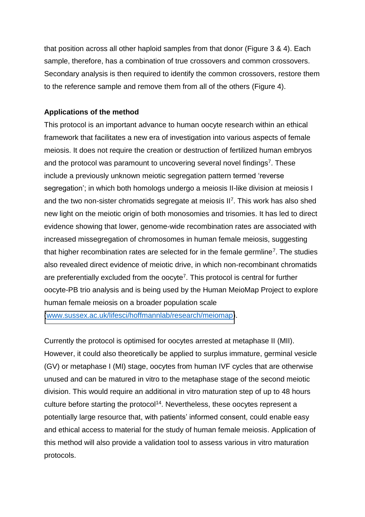that position across all other haploid samples from that donor (Figure 3 & 4). Each sample, therefore, has a combination of true crossovers and common crossovers. Secondary analysis is then required to identify the common crossovers, restore them to the reference sample and remove them from all of the others (Figure 4).

# **Applications of the method**

This protocol is an important advance to human oocyte research within an ethical framework that facilitates a new era of investigation into various aspects of female meiosis. It does not require the creation or destruction of fertilized human embryos and the protocol was paramount to uncovering several novel findings<sup>7</sup>. These include a previously unknown meiotic segregation pattern termed 'reverse segregation'; in which both homologs undergo a meiosis II-like division at meiosis I and the two non-sister chromatids segregate at meiosis II<sup>7</sup>. This work has also shed new light on the meiotic origin of both monosomies and trisomies. It has led to direct evidence showing that lower, genome-wide recombination rates are associated with increased missegregation of chromosomes in human female meiosis, suggesting that higher recombination rates are selected for in the female germline<sup>7</sup>. The studies also revealed direct evidence of meiotic drive, in which non-recombinant chromatids are preferentially excluded from the oocyte<sup>7</sup>. This protocol is central for further oocyte-PB trio analysis and is being used by the Human MeioMap Project to explore human female meiosis on a broader population scale

[\(www.sussex.ac.uk/lifesci/hoffmannlab/research/meiomap\)](http://www.sussex.ac.uk/lifesci/hoffmannlab/research/meiomap).

Currently the protocol is optimised for oocytes arrested at metaphase II (MII). However, it could also theoretically be applied to surplus immature, germinal vesicle (GV) or metaphase I (MI) stage, oocytes from human IVF cycles that are otherwise unused and can be matured in vitro to the metaphase stage of the second meiotic division. This would require an additional in vitro maturation step of up to 48 hours culture before starting the protocol<sup>14</sup>. Nevertheless, these oocytes represent a potentially large resource that, with patients' informed consent, could enable easy and ethical access to material for the study of human female meiosis. Application of this method will also provide a validation tool to assess various in vitro maturation protocols.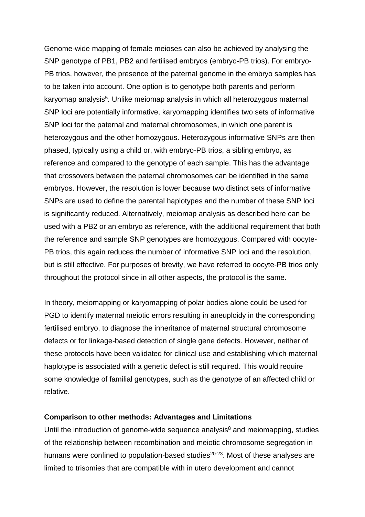Genome-wide mapping of female meioses can also be achieved by analysing the SNP genotype of PB1, PB2 and fertilised embryos (embryo-PB trios). For embryo-PB trios, however, the presence of the paternal genome in the embryo samples has to be taken into account. One option is to genotype both parents and perform karyomap analysis<sup>5</sup>. Unlike meiomap analysis in which all heterozygous maternal SNP loci are potentially informative, karyomapping identifies two sets of informative SNP loci for the paternal and maternal chromosomes, in which one parent is heterozygous and the other homozygous. Heterozygous informative SNPs are then phased, typically using a child or, with embryo-PB trios, a sibling embryo, as reference and compared to the genotype of each sample. This has the advantage that crossovers between the paternal chromosomes can be identified in the same embryos. However, the resolution is lower because two distinct sets of informative SNPs are used to define the parental haplotypes and the number of these SNP loci is significantly reduced. Alternatively, meiomap analysis as described here can be used with a PB2 or an embryo as reference, with the additional requirement that both the reference and sample SNP genotypes are homozygous. Compared with oocyte-PB trios, this again reduces the number of informative SNP loci and the resolution, but is still effective. For purposes of brevity, we have referred to oocyte-PB trios only throughout the protocol since in all other aspects, the protocol is the same.

In theory, meiomapping or karyomapping of polar bodies alone could be used for PGD to identify maternal meiotic errors resulting in aneuploidy in the corresponding fertilised embryo, to diagnose the inheritance of maternal structural chromosome defects or for linkage-based detection of single gene defects. However, neither of these protocols have been validated for clinical use and establishing which maternal haplotype is associated with a genetic defect is still required. This would require some knowledge of familial genotypes, such as the genotype of an affected child or relative.

#### **Comparison to other methods: Advantages and Limitations**

Until the introduction of genome-wide sequence analysis $8$  and meiomapping, studies of the relationship between recombination and meiotic chromosome segregation in humans were confined to population-based studies<sup>20-23</sup>. Most of these analyses are limited to trisomies that are compatible with in utero development and cannot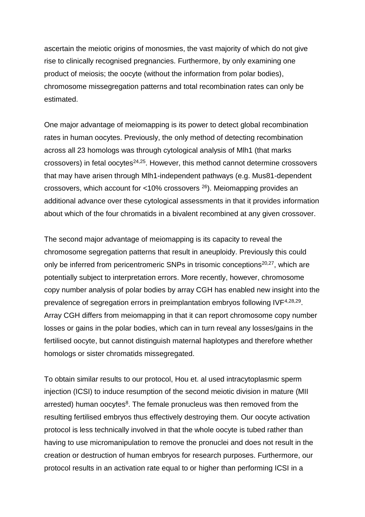ascertain the meiotic origins of monosmies, the vast majority of which do not give rise to clinically recognised pregnancies. Furthermore, by only examining one product of meiosis; the oocyte (without the information from polar bodies), chromosome missegregation patterns and total recombination rates can only be estimated.

One major advantage of meiomapping is its power to detect global recombination rates in human oocytes. Previously, the only method of detecting recombination across all 23 homologs was through cytological analysis of Mlh1 (that marks  $crossovers)$  in fetal oocytes<sup>24,25</sup>. However, this method cannot determine crossovers that may have arisen through Mlh1-independent pathways (e.g. Mus81-dependent crossovers, which account for <10% crossovers <sup>26</sup>). Meiomapping provides an additional advance over these cytological assessments in that it provides information about which of the four chromatids in a bivalent recombined at any given crossover.

The second major advantage of meiomapping is its capacity to reveal the chromosome segregation patterns that result in aneuploidy. Previously this could only be inferred from pericentromeric SNPs in trisomic conceptions<sup>20,27</sup>, which are potentially subject to interpretation errors. More recently, however, chromosome copy number analysis of polar bodies by array CGH has enabled new insight into the prevalence of segregation errors in preimplantation embryos following IVF<sup>4,28,29</sup>. Array CGH differs from meiomapping in that it can report chromosome copy number losses or gains in the polar bodies, which can in turn reveal any losses/gains in the fertilised oocyte, but cannot distinguish maternal haplotypes and therefore whether homologs or sister chromatids missegregated.

To obtain similar results to our protocol, Hou et. al used intracytoplasmic sperm injection (ICSI) to induce resumption of the second meiotic division in mature (MII arrested) human oocytes<sup>8</sup>. The female pronucleus was then removed from the resulting fertilised embryos thus effectively destroying them. Our oocyte activation protocol is less technically involved in that the whole oocyte is tubed rather than having to use micromanipulation to remove the pronuclei and does not result in the creation or destruction of human embryos for research purposes. Furthermore, our protocol results in an activation rate equal to or higher than performing ICSI in a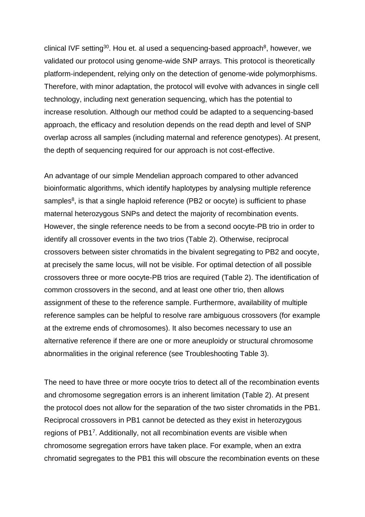clinical IVF setting<sup>30</sup>. Hou et. al used a sequencing-based approach<sup>8</sup>, however, we validated our protocol using genome-wide SNP arrays. This protocol is theoretically platform-independent, relying only on the detection of genome-wide polymorphisms. Therefore, with minor adaptation, the protocol will evolve with advances in single cell technology, including next generation sequencing, which has the potential to increase resolution. Although our method could be adapted to a sequencing-based approach, the efficacy and resolution depends on the read depth and level of SNP overlap across all samples (including maternal and reference genotypes). At present, the depth of sequencing required for our approach is not cost-effective.

An advantage of our simple Mendelian approach compared to other advanced bioinformatic algorithms, which identify haplotypes by analysing multiple reference samples<sup>8</sup>, is that a single haploid reference (PB2 or oocyte) is sufficient to phase maternal heterozygous SNPs and detect the majority of recombination events. However, the single reference needs to be from a second oocyte-PB trio in order to identify all crossover events in the two trios (Table 2). Otherwise, reciprocal crossovers between sister chromatids in the bivalent segregating to PB2 and oocyte, at precisely the same locus, will not be visible. For optimal detection of all possible crossovers three or more oocyte-PB trios are required (Table 2). The identification of common crossovers in the second, and at least one other trio, then allows assignment of these to the reference sample. Furthermore, availability of multiple reference samples can be helpful to resolve rare ambiguous crossovers (for example at the extreme ends of chromosomes). It also becomes necessary to use an alternative reference if there are one or more aneuploidy or structural chromosome abnormalities in the original reference (see Troubleshooting Table 3).

The need to have three or more oocyte trios to detect all of the recombination events and chromosome segregation errors is an inherent limitation (Table 2). At present the protocol does not allow for the separation of the two sister chromatids in the PB1. Reciprocal crossovers in PB1 cannot be detected as they exist in heterozygous regions of PB1<sup>7</sup>. Additionally, not all recombination events are visible when chromosome segregation errors have taken place. For example, when an extra chromatid segregates to the PB1 this will obscure the recombination events on these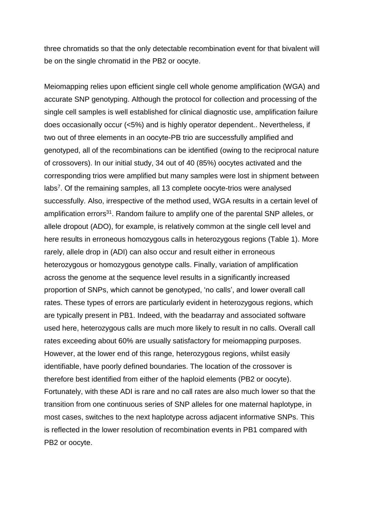three chromatids so that the only detectable recombination event for that bivalent will be on the single chromatid in the PB2 or oocyte.

Meiomapping relies upon efficient single cell whole genome amplification (WGA) and accurate SNP genotyping. Although the protocol for collection and processing of the single cell samples is well established for clinical diagnostic use, amplification failure does occasionally occur (<5%) and is highly operator dependent.. Nevertheless, if two out of three elements in an oocyte-PB trio are successfully amplified and genotyped, all of the recombinations can be identified (owing to the reciprocal nature of crossovers). In our initial study, 34 out of 40 (85%) oocytes activated and the corresponding trios were amplified but many samples were lost in shipment between labs<sup>7</sup>. Of the remaining samples, all 13 complete oocyte-trios were analysed successfully. Also, irrespective of the method used, WGA results in a certain level of amplification errors<sup>31</sup>. Random failure to amplify one of the parental SNP alleles, or allele dropout (ADO), for example, is relatively common at the single cell level and here results in erroneous homozygous calls in heterozygous regions (Table 1). More rarely, allele drop in (ADI) can also occur and result either in erroneous heterozygous or homozygous genotype calls. Finally, variation of amplification across the genome at the sequence level results in a significantly increased proportion of SNPs, which cannot be genotyped, 'no calls', and lower overall call rates. These types of errors are particularly evident in heterozygous regions, which are typically present in PB1. Indeed, with the beadarray and associated software used here, heterozygous calls are much more likely to result in no calls. Overall call rates exceeding about 60% are usually satisfactory for meiomapping purposes. However, at the lower end of this range, heterozygous regions, whilst easily identifiable, have poorly defined boundaries. The location of the crossover is therefore best identified from either of the haploid elements (PB2 or oocyte). Fortunately, with these ADI is rare and no call rates are also much lower so that the transition from one continuous series of SNP alleles for one maternal haplotype, in most cases, switches to the next haplotype across adjacent informative SNPs. This is reflected in the lower resolution of recombination events in PB1 compared with PB2 or oocyte.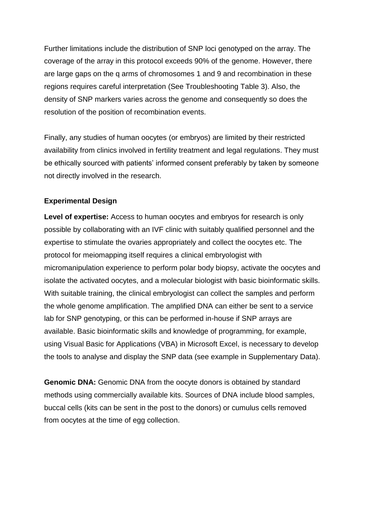Further limitations include the distribution of SNP loci genotyped on the array. The coverage of the array in this protocol exceeds 90% of the genome. However, there are large gaps on the q arms of chromosomes 1 and 9 and recombination in these regions requires careful interpretation (See Troubleshooting Table 3). Also, the density of SNP markers varies across the genome and consequently so does the resolution of the position of recombination events.

Finally, any studies of human oocytes (or embryos) are limited by their restricted availability from clinics involved in fertility treatment and legal regulations. They must be ethically sourced with patients' informed consent preferably by taken by someone not directly involved in the research.

# **Experimental Design**

**Level of expertise:** Access to human oocytes and embryos for research is only possible by collaborating with an IVF clinic with suitably qualified personnel and the expertise to stimulate the ovaries appropriately and collect the oocytes etc. The protocol for meiomapping itself requires a clinical embryologist with micromanipulation experience to perform polar body biopsy, activate the oocytes and isolate the activated oocytes, and a molecular biologist with basic bioinformatic skills. With suitable training, the clinical embryologist can collect the samples and perform the whole genome amplification. The amplified DNA can either be sent to a service lab for SNP genotyping, or this can be performed in-house if SNP arrays are available. Basic bioinformatic skills and knowledge of programming, for example, using Visual Basic for Applications (VBA) in Microsoft Excel, is necessary to develop the tools to analyse and display the SNP data (see example in Supplementary Data).

**Genomic DNA:** Genomic DNA from the oocyte donors is obtained by standard methods using commercially available kits. Sources of DNA include blood samples, buccal cells (kits can be sent in the post to the donors) or cumulus cells removed from oocytes at the time of egg collection.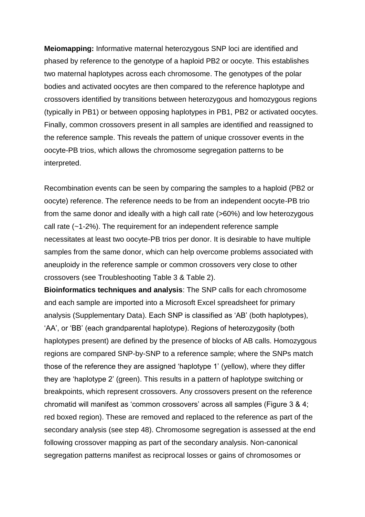**Meiomapping:** Informative maternal heterozygous SNP loci are identified and phased by reference to the genotype of a haploid PB2 or oocyte. This establishes two maternal haplotypes across each chromosome. The genotypes of the polar bodies and activated oocytes are then compared to the reference haplotype and crossovers identified by transitions between heterozygous and homozygous regions (typically in PB1) or between opposing haplotypes in PB1, PB2 or activated oocytes. Finally, common crossovers present in all samples are identified and reassigned to the reference sample. This reveals the pattern of unique crossover events in the oocyte-PB trios, which allows the chromosome segregation patterns to be interpreted.

Recombination events can be seen by comparing the samples to a haploid (PB2 or oocyte) reference. The reference needs to be from an independent oocyte-PB trio from the same donor and ideally with a high call rate (>60%) and low heterozygous call rate (~1-2%). The requirement for an independent reference sample necessitates at least two oocyte-PB trios per donor. It is desirable to have multiple samples from the same donor, which can help overcome problems associated with aneuploidy in the reference sample or common crossovers very close to other crossovers (see Troubleshooting Table 3 & Table 2).

**Bioinformatics techniques and analysis**: The SNP calls for each chromosome and each sample are imported into a Microsoft Excel spreadsheet for primary analysis (Supplementary Data). Each SNP is classified as 'AB' (both haplotypes), 'AA', or 'BB' (each grandparental haplotype). Regions of heterozygosity (both haplotypes present) are defined by the presence of blocks of AB calls. Homozygous regions are compared SNP-by-SNP to a reference sample; where the SNPs match those of the reference they are assigned 'haplotype 1' (yellow), where they differ they are 'haplotype 2' (green). This results in a pattern of haplotype switching or breakpoints, which represent crossovers. Any crossovers present on the reference chromatid will manifest as 'common crossovers' across all samples (Figure 3 & 4; red boxed region). These are removed and replaced to the reference as part of the secondary analysis (see step 48). Chromosome segregation is assessed at the end following crossover mapping as part of the secondary analysis. Non-canonical segregation patterns manifest as reciprocal losses or gains of chromosomes or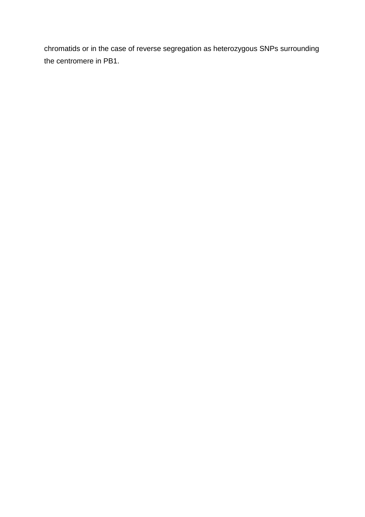chromatids or in the case of reverse segregation as heterozygous SNPs surrounding the centromere in PB1.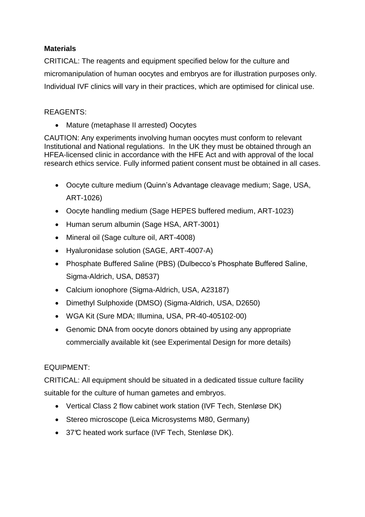# **Materials**

CRITICAL: The reagents and equipment specified below for the culture and micromanipulation of human oocytes and embryos are for illustration purposes only. Individual IVF clinics will vary in their practices, which are optimised for clinical use.

# REAGENTS:

• Mature (metaphase II arrested) Oocytes

CAUTION: Any experiments involving human oocytes must conform to relevant Institutional and National regulations. In the UK they must be obtained through an HFEA-licensed clinic in accordance with the HFE Act and with approval of the local research ethics service. Fully informed patient consent must be obtained in all cases.

- Oocyte culture medium (Quinn's Advantage cleavage medium; Sage, USA, ART-1026)
- Oocyte handling medium (Sage HEPES buffered medium, ART-1023)
- Human serum albumin (Sage HSA, ART-3001)
- Mineral oil (Sage culture oil, ART-4008)
- Hyaluronidase solution (SAGE, ART-4007-A)
- Phosphate Buffered Saline (PBS) (Dulbecco's Phosphate Buffered Saline, Sigma-Aldrich, USA, D8537)
- Calcium ionophore (Sigma-Aldrich, USA, A23187)
- Dimethyl Sulphoxide (DMSO) (Sigma-Aldrich, USA, D2650)
- WGA Kit (Sure MDA; Illumina, USA, PR-40-405102-00)
- Genomic DNA from oocyte donors obtained by using any appropriate commercially available kit (see Experimental Design for more details)

# EQUIPMENT:

CRITICAL: All equipment should be situated in a dedicated tissue culture facility suitable for the culture of human gametes and embryos.

- Vertical Class 2 flow cabinet work station (IVF Tech, Stenløse DK)
- Stereo microscope (Leica Microsystems M80, Germany)
- 37°C heated work surface (IVF Tech, Stenløse DK).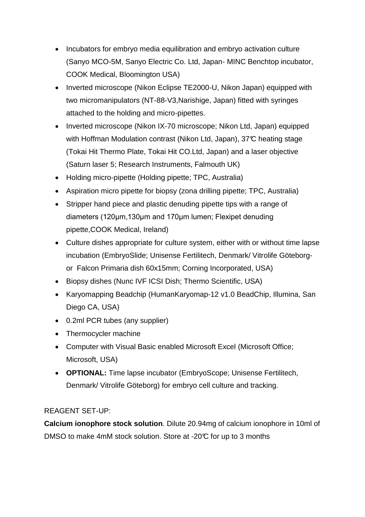- Incubators for embryo media equilibration and embryo activation culture (Sanyo MCO-5M, Sanyo Electric Co. Ltd, Japan- MINC Benchtop incubator, COOK Medical, Bloomington USA)
- Inverted microscope (Nikon Eclipse TE2000-U, Nikon Japan) equipped with two micromanipulators (NT-88-V3,Narishige, Japan) fitted with syringes attached to the holding and micro-pipettes.
- Inverted microscope (Nikon IX-70 microscope; Nikon Ltd, Japan) equipped with Hoffman Modulation contrast (Nikon Ltd, Japan), 37°C heating stage (Tokai Hit Thermo Plate, Tokai Hit CO.Ltd, Japan) and a laser objective (Saturn laser 5; Research Instruments, Falmouth UK)
- Holding micro-pipette (Holding pipette; TPC, Australia)
- Aspiration micro pipette for biopsy (zona drilling pipette; TPC, Australia)
- Stripper hand piece and plastic denuding pipette tips with a range of diameters (120  $\mu$ m,130  $\mu$ m and 170  $\mu$ m lumen; Flexipet denuding pipette,COOK Medical, Ireland)
- Culture dishes appropriate for culture system, either with or without time lapse incubation (EmbryoSlide; Unisense Fertilitech, Denmark/ Vitrolife Göteborgor Falcon Primaria dish 60x15mm; Corning Incorporated, USA)
- Biopsy dishes (Nunc IVF ICSI Dish; Thermo Scientific, USA)
- Karyomapping Beadchip (HumanKaryomap-12 v1.0 BeadChip, Illumina, San Diego CA, USA)
- 0.2ml PCR tubes (any supplier)
- Thermocycler machine
- Computer with Visual Basic enabled Microsoft Excel (Microsoft Office; Microsoft, USA)
- **OPTIONAL:** Time lapse incubator (EmbryoScope; Unisense Fertilitech, Denmark/ Vitrolife Göteborg) for embryo cell culture and tracking.

# REAGENT SET-UP:

**Calcium ionophore stock solution**. Dilute 20.94mg of calcium ionophore in 10ml of DMSO to make 4mM stock solution. Store at -20°C for up to 3 months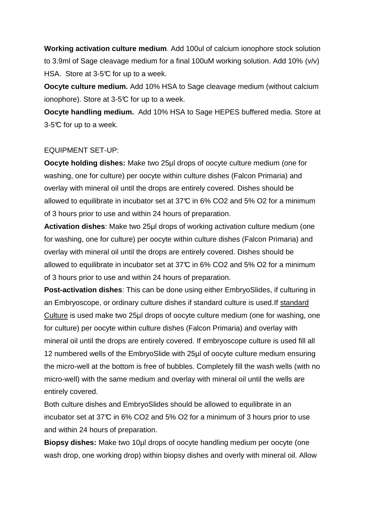**Working activation culture medium**. Add 100ul of calcium ionophore stock solution to 3.9ml of Sage cleavage medium for a final 100uM working solution. Add 10% (v/v) HSA. Store at 3-5°C for up to a week.

**Oocyte culture medium.** Add 10% HSA to Sage cleavage medium (without calcium ionophore). Store at 3-5°C for up to a week.

**Oocyte handling medium.** Add 10% HSA to Sage HEPES buffered media. Store at  $3-5$ °C for up to a week.

# EQUIPMENT SET-UP:

**Oocyte holding dishes:** Make two 25µl drops of oocyte culture medium (one for washing, one for culture) per oocyte within culture dishes (Falcon Primaria) and overlay with mineral oil until the drops are entirely covered. Dishes should be allowed to equilibrate in incubator set at  $37<sup>o</sup>$  in 6% CO2 and 5% O2 for a minimum of 3 hours prior to use and within 24 hours of preparation.

**Activation dishes**: Make two 25µl drops of working activation culture medium (one for washing, one for culture) per oocyte within culture dishes (Falcon Primaria) and overlay with mineral oil until the drops are entirely covered. Dishes should be allowed to equilibrate in incubator set at  $37<sup>o</sup>$  in 6% CO2 and 5% O2 for a minimum of 3 hours prior to use and within 24 hours of preparation.

**Post-activation dishes**: This can be done using either EmbryoSlides, if culturing in an Embryoscope, or ordinary culture dishes if standard culture is used.If standard Culture is used make two 25µl drops of oocyte culture medium (one for washing, one for culture) per oocyte within culture dishes (Falcon Primaria) and overlay with mineral oil until the drops are entirely covered. If embryoscope culture is used fill all 12 numbered wells of the EmbryoSlide with 25µl of oocyte culture medium ensuring the micro-well at the bottom is free of bubbles. Completely fill the wash wells (with no micro-well) with the same medium and overlay with mineral oil until the wells are entirely covered.

Both culture dishes and EmbryoSlides should be allowed to equilibrate in an incubator set at 37 $\mathbb{C}$  in 6% CO2 and 5% O2 for a minimum of 3 hours prior to use and within 24 hours of preparation.

**Biopsy dishes:** Make two 10µl drops of oocyte handling medium per oocyte (one wash drop, one working drop) within biopsy dishes and overly with mineral oil. Allow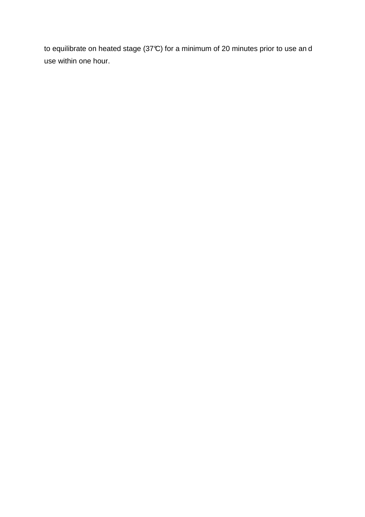to equilibrate on heated stage (37°C) for a minimum of 20 minutes prior to use an d use within one hour.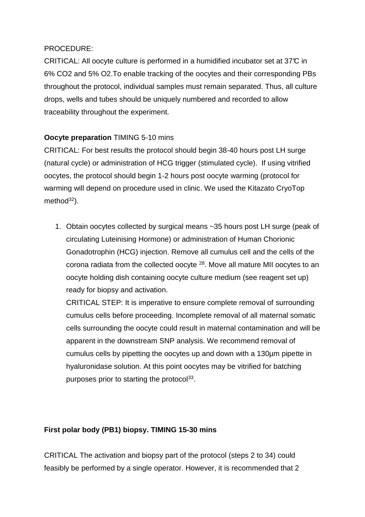# PROCEDURE:

CRITICAL: All oocyte culture is performed in a humidified incubator set at 37°C in 6% CO2 and 5% O2.To enable tracking of the oocytes and their corresponding PBs throughout the protocol, individual samples must remain separated. Thus, all culture drops, wells and tubes should be uniquely numbered and recorded to allow traceability throughout the experiment.

# **Oocyte preparation** TIMING 5-10 mins

CRITICAL: For best results the protocol should begin 38-40 hours post LH surge (natural cycle) or administration of HCG trigger (stimulated cycle). If using vitrified oocytes, the protocol should begin 1-2 hours post oocyte warming (protocol for warming will depend on procedure used in clinic. We used the Kitazato CryoTop method $32$ ).

1. Obtain oocytes collected by surgical means ~35 hours post LH surge (peak of circulating Luteinising Hormone) or administration of Human Chorionic Gonadotrophin (HCG) injection. Remove all cumulus cell and the cells of the corona radiata from the collected oocyte  $28$ . Move all mature MII oocytes to an oocyte holding dish containing oocyte culture medium (see reagent set up) ready for biopsy and activation.

CRITICAL STEP: It is imperative to ensure complete removal of surrounding cumulus cells before proceeding. Incomplete removal of all maternal somatic cells surrounding the oocyte could result in maternal contamination and will be apparent in the downstream SNP analysis. We recommend removal of cumulus cells by pipetting the oocytes up and down with a 130µm pipette in hyaluronidase solution. At this point oocytes may be vitrified for batching purposes prior to starting the protocol<sup>33</sup>.

# **First polar body (PB1) biopsy. TIMING 15-30 mins**

CRITICAL The activation and biopsy part of the protocol (steps 2 to 34) could feasibly be performed by a single operator. However, it is recommended that 2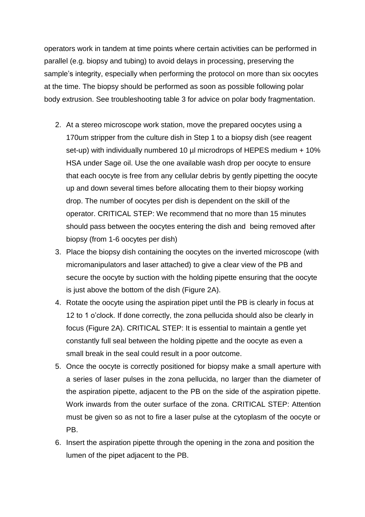operators work in tandem at time points where certain activities can be performed in parallel (e.g. biopsy and tubing) to avoid delays in processing, preserving the sample's integrity, especially when performing the protocol on more than six oocytes at the time. The biopsy should be performed as soon as possible following polar body extrusion. See troubleshooting table 3 for advice on polar body fragmentation.

- 2. At a stereo microscope work station, move the prepared oocytes using a 170um stripper from the culture dish in Step 1 to a biopsy dish (see reagent set-up) with individually numbered 10 µl microdrops of HEPES medium + 10% HSA under Sage oil. Use the one available wash drop per oocyte to ensure that each oocyte is free from any cellular debris by gently pipetting the oocyte up and down several times before allocating them to their biopsy working drop. The number of oocytes per dish is dependent on the skill of the operator. CRITICAL STEP: We recommend that no more than 15 minutes should pass between the oocytes entering the dish and being removed after biopsy (from 1-6 oocytes per dish)
- 3. Place the biopsy dish containing the oocytes on the inverted microscope (with micromanipulators and laser attached) to give a clear view of the PB and secure the oocyte by suction with the holding pipette ensuring that the oocyte is just above the bottom of the dish (Figure 2A).
- 4. Rotate the oocyte using the aspiration pipet until the PB is clearly in focus at 12 to 1 o'clock. If done correctly, the zona pellucida should also be clearly in focus (Figure 2A). CRITICAL STEP: It is essential to maintain a gentle yet constantly full seal between the holding pipette and the oocyte as even a small break in the seal could result in a poor outcome.
- 5. Once the oocyte is correctly positioned for biopsy make a small aperture with a series of laser pulses in the zona pellucida, no larger than the diameter of the aspiration pipette, adjacent to the PB on the side of the aspiration pipette. Work inwards from the outer surface of the zona. CRITICAL STEP: Attention must be given so as not to fire a laser pulse at the cytoplasm of the oocyte or PB.
- 6. Insert the aspiration pipette through the opening in the zona and position the lumen of the pipet adjacent to the PB.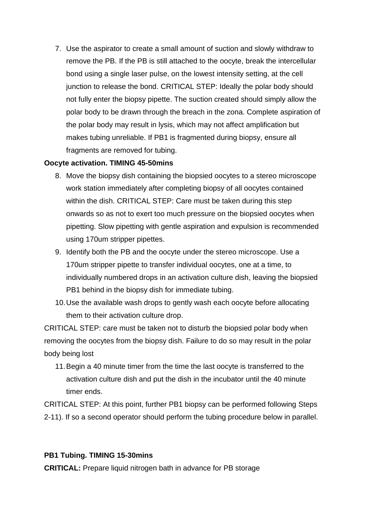7. Use the aspirator to create a small amount of suction and slowly withdraw to remove the PB. If the PB is still attached to the oocyte, break the intercellular bond using a single laser pulse, on the lowest intensity setting, at the cell junction to release the bond. CRITICAL STEP: Ideally the polar body should not fully enter the biopsy pipette. The suction created should simply allow the polar body to be drawn through the breach in the zona. Complete aspiration of the polar body may result in lysis, which may not affect amplification but makes tubing unreliable. If PB1 is fragmented during biopsy, ensure all fragments are removed for tubing.

# **Oocyte activation. TIMING 45-50mins**

- 8. Move the biopsy dish containing the biopsied oocytes to a stereo microscope work station immediately after completing biopsy of all oocytes contained within the dish. CRITICAL STEP: Care must be taken during this step onwards so as not to exert too much pressure on the biopsied oocytes when pipetting. Slow pipetting with gentle aspiration and expulsion is recommended using 170um stripper pipettes.
- 9. Identify both the PB and the oocyte under the stereo microscope. Use a 170um stripper pipette to transfer individual oocytes, one at a time, to individually numbered drops in an activation culture dish, leaving the biopsied PB1 behind in the biopsy dish for immediate tubing.
- 10. Use the available wash drops to gently wash each oocyte before allocating them to their activation culture drop.

CRITICAL STEP: care must be taken not to disturb the biopsied polar body when removing the oocytes from the biopsy dish. Failure to do so may result in the polar body being lost

11. Begin a 40 minute timer from the time the last oocyte is transferred to the activation culture dish and put the dish in the incubator until the 40 minute timer ends.

CRITICAL STEP: At this point, further PB1 biopsy can be performed following Steps 2-11). If so a second operator should perform the tubing procedure below in parallel.

# **PB1 Tubing. TIMING 15-30mins**

**CRITICAL:** Prepare liquid nitrogen bath in advance for PB storage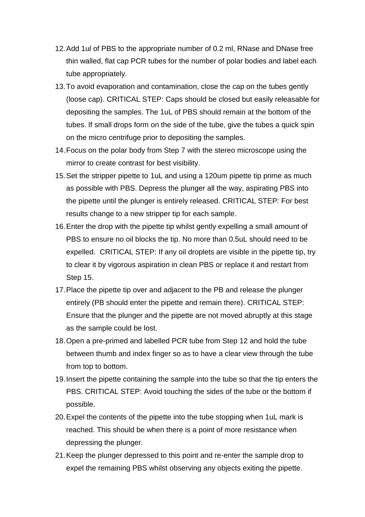- 12. Add 1ul of PBS to the appropriate number of 0.2 ml, RNase and DNase free thin walled, flat cap PCR tubes for the number of polar bodies and label each tube appropriately.
- 13. To avoid evaporation and contamination, close the cap on the tubes gently (loose cap). CRITICAL STEP: Caps should be closed but easily releasable for depositing the samples. The 1uL of PBS should remain at the bottom of the tubes. If small drops form on the side of the tube, give the tubes a quick spin on the micro centrifuge prior to depositing the samples.
- 14. Focus on the polar body from Step 7 with the stereo microscope using the mirror to create contrast for best visibility.
- 15. Set the stripper pipette to 1uL and using a 120um pipette tip prime as much as possible with PBS. Depress the plunger all the way, aspirating PBS into the pipette until the plunger is entirely released. CRITICAL STEP: For best results change to a new stripper tip for each sample.
- 16. Enter the drop with the pipette tip whilst gently expelling a small amount of PBS to ensure no oil blocks the tip. No more than 0.5uL should need to be expelled. CRITICAL STEP: If any oil droplets are visible in the pipette tip, try to clear it by vigorous aspiration in clean PBS or replace it and restart from Step 15.
- 17. Place the pipette tip over and adjacent to the PB and release the plunger entirely (PB should enter the pipette and remain there). CRITICAL STEP: Ensure that the plunger and the pipette are not moved abruptly at this stage as the sample could be lost.
- 18. Open a pre-primed and labelled PCR tube from Step 12 and hold the tube between thumb and index finger so as to have a clear view through the tube from top to bottom.
- 19. Insert the pipette containing the sample into the tube so that the tip enters the PBS. CRITICAL STEP: Avoid touching the sides of the tube or the bottom if possible.
- 20. Expel the contents of the pipette into the tube stopping when 1uL mark is reached. This should be when there is a point of more resistance when depressing the plunger.
- 21. Keep the plunger depressed to this point and re-enter the sample drop to expel the remaining PBS whilst observing any objects exiting the pipette.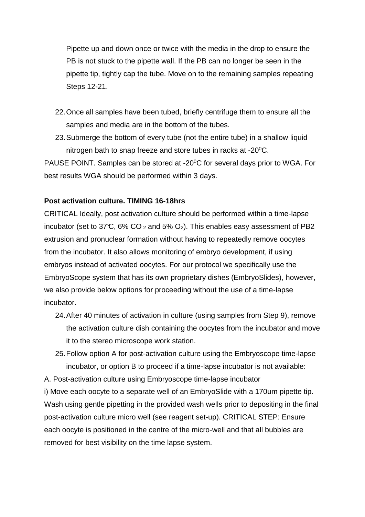Pipette up and down once or twice with the media in the drop to ensure the PB is not stuck to the pipette wall. If the PB can no longer be seen in the pipette tip, tightly cap the tube. Move on to the remaining samples repeating Steps 12-21.

- 22. Once all samples have been tubed, briefly centrifuge them to ensure all the samples and media are in the bottom of the tubes.
- 23.Submerge the bottom of every tube (not the entire tube) in a shallow liquid nitrogen bath to snap freeze and store tubes in racks at  $-20^{\circ}$ C.

PAUSE POINT. Samples can be stored at -20<sup>0</sup>C for several days prior to WGA. For best results WGA should be performed within 3 days.

### **Post activation culture. TIMING 16-18hrs**

CRITICAL Ideally, post activation culture should be performed within a time-lapse incubator (set to 37°C, 6% CO  $_2$  and 5% O<sub>2</sub>). This enables easy assessment of PB2 extrusion and pronuclear formation without having to repeatedly remove oocytes from the incubator. It also allows monitoring of embryo development, if using embryos instead of activated oocytes. For our protocol we specifically use the EmbryoScope system that has its own proprietary dishes (EmbryoSlides), however, we also provide below options for proceeding without the use of a time-lapse incubator.

- 24. After 40 minutes of activation in culture (using samples from Step 9), remove the activation culture dish containing the oocytes from the incubator and move it to the stereo microscope work station.
- 25. Follow option A for post-activation culture using the Embryoscope time-lapse incubator, or option B to proceed if a time-lapse incubator is not available:

A. Post-activation culture using Embryoscope time-lapse incubator

i) Move each oocyte to a separate well of an EmbryoSlide with a 170um pipette tip. Wash using gentle pipetting in the provided wash wells prior to depositing in the final post-activation culture micro well (see reagent set-up). CRITICAL STEP: Ensure each oocyte is positioned in the centre of the micro-well and that all bubbles are removed for best visibility on the time lapse system.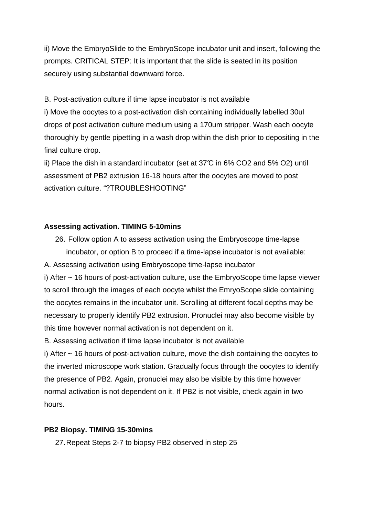ii) Move the EmbryoSlide to the EmbryoScope incubator unit and insert, following the prompts. CRITICAL STEP: It is important that the slide is seated in its position securely using substantial downward force.

B. Post-activation culture if time lapse incubator is not available

i) Move the oocytes to a post-activation dish containing individually labelled 30ul drops of post activation culture medium using a 170um stripper. Wash each oocyte thoroughly by gentle pipetting in a wash drop within the dish prior to depositing in the final culture drop.

ii) Place the dish in a standard incubator (set at  $37^{\circ}$  in 6% CO2 and 5% O2) until assessment of PB2 extrusion 16-18 hours after the oocytes are moved to post activation culture. "?TROUBLESHOOTING"

# **Assessing activation. TIMING 5-10mins**

26. Follow option A to assess activation using the Embryoscope time-lapse incubator, or option B to proceed if a time-lapse incubator is not available: A. Assessing activation using Embryoscope time-lapse incubator

i) After ~ 16 hours of post-activation culture, use the EmbryoScope time lapse viewer to scroll through the images of each oocyte whilst the EmryoScope slide containing the oocytes remains in the incubator unit. Scrolling at different focal depths may be necessary to properly identify PB2 extrusion. Pronuclei may also become visible by this time however normal activation is not dependent on it.

B. Assessing activation if time lapse incubator is not available

i) After ~ 16 hours of post-activation culture, move the dish containing the oocytes to the inverted microscope work station. Gradually focus through the oocytes to identify the presence of PB2. Again, pronuclei may also be visible by this time however normal activation is not dependent on it. If PB2 is not visible, check again in two hours.

# **PB2 Biopsy. TIMING 15-30mins**

27. Repeat Steps 2-7 to biopsy PB2 observed in step 25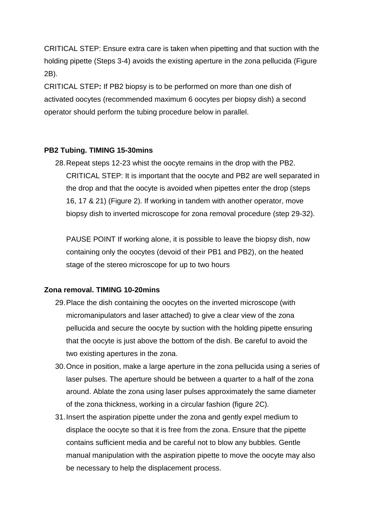CRITICAL STEP: Ensure extra care is taken when pipetting and that suction with the holding pipette (Steps 3-4) avoids the existing aperture in the zona pellucida (Figure 2B).

CRITICAL STEP**:** If PB2 biopsy is to be performed on more than one dish of activated oocytes (recommended maximum 6 oocytes per biopsy dish) a second operator should perform the tubing procedure below in parallel.

# **PB2 Tubing. TIMING 15-30mins**

28. Repeat steps 12-23 whist the oocyte remains in the drop with the PB2. CRITICAL STEP: It is important that the oocyte and PB2 are well separated in the drop and that the oocyte is avoided when pipettes enter the drop (steps 16, 17 & 21) (Figure 2). If working in tandem with another operator, move biopsy dish to inverted microscope for zona removal procedure (step 29-32).

PAUSE POINT If working alone, it is possible to leave the biopsy dish, now containing only the oocytes (devoid of their PB1 and PB2), on the heated stage of the stereo microscope for up to two hours

#### **Zona removal. TIMING 10-20mins**

- 29. Place the dish containing the oocytes on the inverted microscope (with micromanipulators and laser attached) to give a clear view of the zona pellucida and secure the oocyte by suction with the holding pipette ensuring that the oocyte is just above the bottom of the dish. Be careful to avoid the two existing apertures in the zona.
- 30. Once in position, make a large aperture in the zona pellucida using a series of laser pulses. The aperture should be between a quarter to a half of the zona around. Ablate the zona using laser pulses approximately the same diameter of the zona thickness, working in a circular fashion (figure 2C).
- 31. Insert the aspiration pipette under the zona and gently expel medium to displace the oocyte so that it is free from the zona. Ensure that the pipette contains sufficient media and be careful not to blow any bubbles. Gentle manual manipulation with the aspiration pipette to move the oocyte may also be necessary to help the displacement process.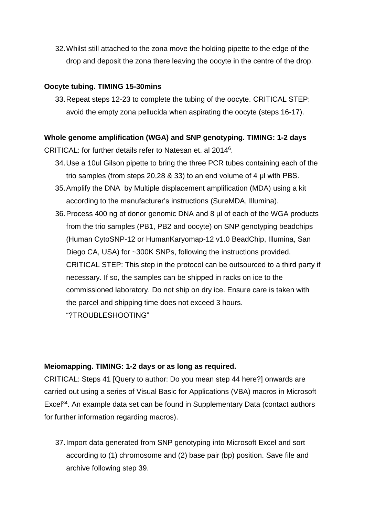32. Whilst still attached to the zona move the holding pipette to the edge of the drop and deposit the zona there leaving the oocyte in the centre of the drop.

# **Oocyte tubing. TIMING 15-30mins**

33. Repeat steps 12-23 to complete the tubing of the oocyte. CRITICAL STEP: avoid the empty zona pellucida when aspirating the oocyte (steps 16-17).

# **Whole genome amplification (WGA) and SNP genotyping. TIMING: 1-2 days**

CRITICAL: for further details refer to Natesan et. al 2014<sup>6</sup> .

- 34. Use a 10ul Gilson pipette to bring the three PCR tubes containing each of the trio samples (from steps 20,28  $&$  33) to an end volume of 4  $\mu$  with PBS.
- 35. Amplify the DNA by Multiple displacement amplification (MDA) using a kit according to the manufacturer's instructions (SureMDA, Illumina).
- 36. Process 400 ng of donor genomic DNA and 8 µl of each of the WGA products from the trio samples (PB1, PB2 and oocyte) on SNP genotyping beadchips (Human CytoSNP-12 or HumanKaryomap-12 v1.0 BeadChip, Illumina, San Diego CA, USA) for ~300K SNPs, following the instructions provided. CRITICAL STEP: This step in the protocol can be outsourced to a third party if necessary. If so, the samples can be shipped in racks on ice to the commissioned laboratory. Do not ship on dry ice. Ensure care is taken with the parcel and shipping time does not exceed 3 hours. "?TROUBLESHOOTING"

# **Meiomapping. TIMING: 1-2 days or as long as required.**

CRITICAL: Steps 41 [Query to author: Do you mean step 44 here?] onwards are carried out using a series of Visual Basic for Applications (VBA) macros in Microsoft Excel<sup>34</sup>. An example data set can be found in Supplementary Data (contact authors for further information regarding macros).

37. Import data generated from SNP genotyping into Microsoft Excel and sort according to (1) chromosome and (2) base pair (bp) position. Save file and archive following step 39.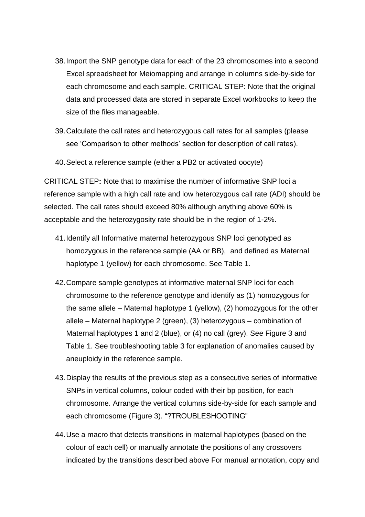- 38. Import the SNP genotype data for each of the 23 chromosomes into a second Excel spreadsheet for Meiomapping and arrange in columns side-by-side for each chromosome and each sample. CRITICAL STEP: Note that the original data and processed data are stored in separate Excel workbooks to keep the size of the files manageable.
- 39. Calculate the call rates and heterozygous call rates for all samples (please see 'Comparison to other methods' section for description of call rates).
- 40. Select a reference sample (either a PB2 or activated oocyte)

CRITICAL STEP**:** Note that to maximise the number of informative SNP loci a reference sample with a high call rate and low heterozygous call rate (ADI) should be selected. The call rates should exceed 80% although anything above 60% is acceptable and the heterozygosity rate should be in the region of 1-2%.

- 41. Identify all Informative maternal heterozygous SNP loci genotyped as homozygous in the reference sample (AA or BB), and defined as Maternal haplotype 1 (yellow) for each chromosome. See Table 1.
- 42. Compare sample genotypes at informative maternal SNP loci for each chromosome to the reference genotype and identify as (1) homozygous for the same allele – Maternal haplotype 1 (yellow), (2) homozygous for the other allele – Maternal haplotype 2 (green), (3) heterozygous – combination of Maternal haplotypes 1 and 2 (blue), or (4) no call (grey). See Figure 3 and Table 1. See troubleshooting table 3 for explanation of anomalies caused by aneuploidy in the reference sample.
- 43. Display the results of the previous step as a consecutive series of informative SNPs in vertical columns, colour coded with their bp position, for each chromosome. Arrange the vertical columns side-by-side for each sample and each chromosome (Figure 3). "?TROUBLESHOOTING"
- 44. Use a macro that detects transitions in maternal haplotypes (based on the colour of each cell) or manually annotate the positions of any crossovers indicated by the transitions described above For manual annotation, copy and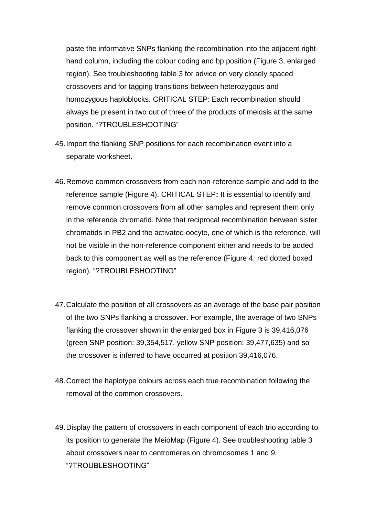paste the informative SNPs flanking the recombination into the adjacent righthand column, including the colour coding and bp position (Figure 3, enlarged region). See troubleshooting table 3 for advice on very closely spaced crossovers and for tagging transitions between heterozygous and homozygous haploblocks. CRITICAL STEP: Each recombination should always be present in two out of three of the products of meiosis at the same position. "?TROUBLESHOOTING"

- 45. Import the flanking SNP positions for each recombination event into a separate worksheet.
- 46. Remove common crossovers from each non-reference sample and add to the reference sample (Figure 4). CRITICAL STEP**:** It is essential to identify and remove common crossovers from all other samples and represent them only in the reference chromatid. Note that reciprocal recombination between sister chromatids in PB2 and the activated oocyte, one of which is the reference, will not be visible in the non-reference component either and needs to be added back to this component as well as the reference (Figure 4; red dotted boxed region). "?TROUBLESHOOTING"
- 47. Calculate the position of all crossovers as an average of the base pair position of the two SNPs flanking a crossover. For example, the average of two SNPs flanking the crossover shown in the enlarged box in Figure 3 is 39,416,076 (green SNP position: 39,354,517, yellow SNP position: 39,477,635) and so the crossover is inferred to have occurred at position 39,416,076.
- 48.Correct the haplotype colours across each true recombination following the removal of the common crossovers.
- 49. Display the pattern of crossovers in each component of each trio according to its position to generate the MeioMap (Figure 4). See troubleshooting table 3 about crossovers near to centromeres on chromosomes 1 and 9. "?TROUBLESHOOTING"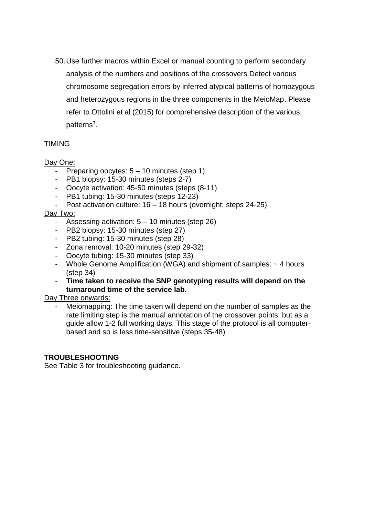50. Use further macros within Excel or manual counting to perform secondary analysis of the numbers and positions of the crossovers Detect various chromosome segregation errors by inferred atypical patterns of homozygous and heterozygous regions in the three components in the MeioMap. Please refer to Ottolini et al (2015) for comprehensive description of the various patterns<sup>7</sup>.

# TIMING

# Day One:

- Preparing oocytes: 5 10 minutes (step 1)
- PB1 biopsy: 15-30 minutes (steps 2-7)
- Oocyte activation: 45-50 minutes (steps (8-11)
- PB1 tubing: 15-30 minutes (steps 12-23)
- Post activation culture: 16 18 hours (overnight; steps 24-25)

# Day Two:

- Assessing activation: 5 10 minutes (step 26)
- PB2 biopsy: 15-30 minutes (step 27)
- PB2 tubing: 15-30 minutes (step 28)
- Zona removal: 10-20 minutes (step 29-32)
- Oocyte tubing: 15-30 minutes (step 33)
- Whole Genome Amplification (WGA) and shipment of samples: ~ 4 hours (step 34)
- **Time taken to receive the SNP genotyping results will depend on the turnaround time of the service lab.**

# Day Three onwards:

Meiomapping: The time taken will depend on the number of samples as the rate limiting step is the manual annotation of the crossover points, but as a guide allow 1-2 full working days. This stage of the protocol is all computerbased and so is less time-sensitive (steps 35-48)

# **TROUBLESHOOTING**

See Table 3 for troubleshooting guidance.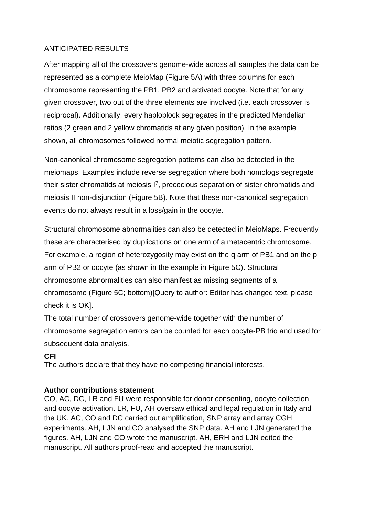# ANTICIPATED RESULTS

After mapping all of the crossovers genome-wide across all samples the data can be represented as a complete MeioMap (Figure 5A) with three columns for each chromosome representing the PB1, PB2 and activated oocyte. Note that for any given crossover, two out of the three elements are involved (i.e. each crossover is reciprocal). Additionally, every haploblock segregates in the predicted Mendelian ratios (2 green and 2 yellow chromatids at any given position). In the example shown, all chromosomes followed normal meiotic segregation pattern.

Non-canonical chromosome segregation patterns can also be detected in the meiomaps. Examples include reverse segregation where both homologs segregate their sister chromatids at meiosis  $I^7$ , precocious separation of sister chromatids and meiosis II non-disjunction (Figure 5B). Note that these non-canonical segregation events do not always result in a loss/gain in the oocyte.

Structural chromosome abnormalities can also be detected in MeioMaps. Frequently these are characterised by duplications on one arm of a metacentric chromosome. For example, a region of heterozygosity may exist on the q arm of PB1 and on the p arm of PB2 or oocyte (as shown in the example in Figure 5C). Structural chromosome abnormalities can also manifest as missing segments of a chromosome (Figure 5C; bottom)[Query to author: Editor has changed text, please check it is OK].

The total number of crossovers genome-wide together with the number of chromosome segregation errors can be counted for each oocyte-PB trio and used for subsequent data analysis.

# **CFI**

The authors declare that they have no competing financial interests.

# **Author contributions statement**

CO, AC, DC, LR and FU were responsible for donor consenting, oocyte collection and oocyte activation. LR, FU, AH oversaw ethical and legal regulation in Italy and the UK. AC, CO and DC carried out amplification, SNP array and array CGH experiments. AH, LJN and CO analysed the SNP data. AH and LJN generated the figures. AH, LJN and CO wrote the manuscript. AH, ERH and LJN edited the manuscript. All authors proof-read and accepted the manuscript.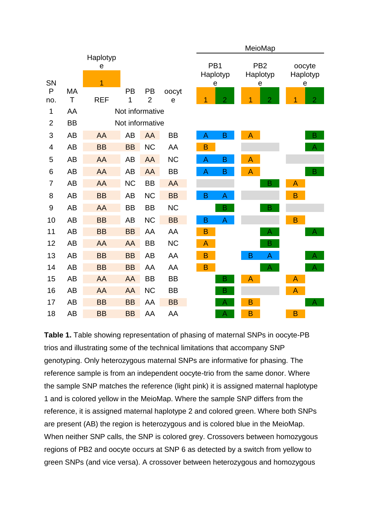|                |           |                                 |                 |                 |           |  |   |                                  |   | MeioMap                          |                |                         |
|----------------|-----------|---------------------------------|-----------------|-----------------|-----------|--|---|----------------------------------|---|----------------------------------|----------------|-------------------------|
| SN             |           | Haplotyp<br>e<br>$\overline{1}$ |                 |                 |           |  |   | PB <sub>1</sub><br>Haplotyp<br>е |   | PB <sub>2</sub><br>Haplotyp<br>e |                | oocyte<br>Haplotyp<br>е |
| $\mathsf{P}$   | MA        |                                 | PB              | PB              | oocyt     |  |   |                                  |   |                                  |                |                         |
| no.            | $\top$    | <b>REF</b>                      | 1               | $\overline{2}$  | e         |  | 1 | $\overline{2}$                   |   | $\overline{2}$                   | 1              | $\overline{2}$          |
| 1              | AA        |                                 | Not informative |                 |           |  |   |                                  |   |                                  |                |                         |
| $\overline{2}$ | <b>BB</b> |                                 |                 | Not informative |           |  |   |                                  |   |                                  |                |                         |
| 3              | <b>AB</b> | AA                              | AB              | AA              | <b>BB</b> |  | A | B                                | A |                                  |                | B                       |
| 4              | <b>AB</b> | <b>BB</b>                       | <b>BB</b>       | <b>NC</b>       | AA        |  | B |                                  |   |                                  |                | $\overline{A}$          |
| 5              | <b>AB</b> | AA                              | AB              | AA              | <b>NC</b> |  | Α | B                                | A |                                  |                |                         |
| 6              | <b>AB</b> | AA                              | AB              | <b>AA</b>       | <b>BB</b> |  | A | B                                | A |                                  |                | B                       |
| $\overline{7}$ | <b>AB</b> | AA                              | <b>NC</b>       | <b>BB</b>       | AA        |  |   |                                  |   | B                                | A              |                         |
| 8              | <b>AB</b> | <b>BB</b>                       | AB              | <b>NC</b>       | <b>BB</b> |  | B | A                                |   |                                  | B              |                         |
| 9              | <b>AB</b> | AA                              | <b>BB</b>       | <b>BB</b>       | <b>NC</b> |  |   | B                                |   | B                                |                |                         |
| 10             | <b>AB</b> | <b>BB</b>                       | AB              | <b>NC</b>       | <b>BB</b> |  | B | A                                |   |                                  | $\overline{B}$ |                         |
| 11             | <b>AB</b> | <b>BB</b>                       | <b>BB</b>       | AA              | AA        |  | B |                                  |   | A                                |                | $\mathsf{A}$            |
| 12             | <b>AB</b> | AA                              | AA              | <b>BB</b>       | <b>NC</b> |  | A |                                  |   | B                                |                |                         |
| 13             | <b>AB</b> | <b>BB</b>                       | <b>BB</b>       | <b>AB</b>       | AA        |  | B |                                  | B | A                                |                | A                       |
| 14             | <b>AB</b> | <b>BB</b>                       | <b>BB</b>       | AA              | AA        |  | B |                                  |   | $\overline{A}$                   |                | A                       |
| 15             | <b>AB</b> | AA                              | AA              | <b>BB</b>       | <b>BB</b> |  |   | B                                | A |                                  | A              |                         |
| 16             | <b>AB</b> | AA                              | AA              | <b>NC</b>       | <b>BB</b> |  |   | в                                |   |                                  | $\overline{A}$ |                         |
| 17             | <b>AB</b> | <b>BB</b>                       | <b>BB</b>       | AA              | <b>BB</b> |  |   | A                                | B |                                  |                | A                       |
| 18             | <b>AB</b> | <b>BB</b>                       | <b>BB</b>       | AA              | AA        |  |   | A                                | B |                                  | B              |                         |

**Table 1.** Table showing representation of phasing of maternal SNPs in oocyte-PB trios and illustrating some of the technical limitations that accompany SNP genotyping. Only heterozygous maternal SNPs are informative for phasing. The reference sample is from an independent oocyte-trio from the same donor. Where the sample SNP matches the reference (light pink) it is assigned maternal haplotype 1 and is colored yellow in the MeioMap. Where the sample SNP differs from the reference, it is assigned maternal haplotype 2 and colored green. Where both SNPs are present (AB) the region is heterozygous and is colored blue in the MeioMap. When neither SNP calls, the SNP is colored grey. Crossovers between homozygous regions of PB2 and oocyte occurs at SNP 6 as detected by a switch from yellow to green SNPs (and vice versa). A crossover between heterozygous and homozygous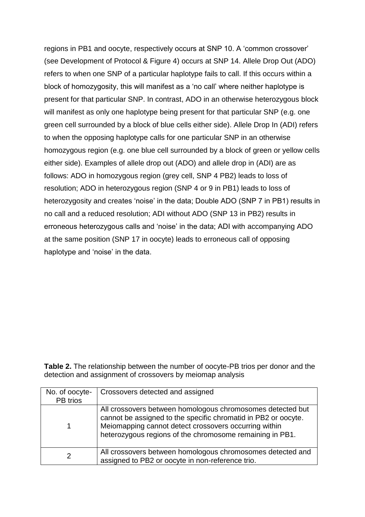regions in PB1 and oocyte, respectively occurs at SNP 10. A 'common crossover' (see Development of Protocol & Figure 4) occurs at SNP 14. Allele Drop Out (ADO) refers to when one SNP of a particular haplotype fails to call. If this occurs within a block of homozygosity, this will manifest as a 'no call' where neither haplotype is present for that particular SNP. In contrast, ADO in an otherwise heterozygous block will manifest as only one haplotype being present for that particular SNP (e.g. one green cell surrounded by a block of blue cells either side). Allele Drop In (ADI) refers to when the opposing haplotype calls for one particular SNP in an otherwise homozygous region (e.g. one blue cell surrounded by a block of green or yellow cells either side). Examples of allele drop out (ADO) and allele drop in (ADI) are as follows: ADO in homozygous region (grey cell, SNP 4 PB2) leads to loss of resolution; ADO in heterozygous region (SNP 4 or 9 in PB1) leads to loss of heterozygosity and creates 'noise' in the data; Double ADO (SNP 7 in PB1) results in no call and a reduced resolution; ADI without ADO (SNP 13 in PB2) results in erroneous heterozygous calls and 'noise' in the data; ADI with accompanying ADO at the same position (SNP 17 in oocyte) leads to erroneous call of opposing haplotype and 'noise' in the data.

**Table 2.** The relationship between the number of oocyte-PB trios per donor and the detection and assignment of crossovers by meiomap analysis

| No. of oocyte- | Crossovers detected and assigned                                                                                                                                                                                                                  |  |  |  |  |  |
|----------------|---------------------------------------------------------------------------------------------------------------------------------------------------------------------------------------------------------------------------------------------------|--|--|--|--|--|
| PB trios       |                                                                                                                                                                                                                                                   |  |  |  |  |  |
|                | All crossovers between homologous chromosomes detected but<br>cannot be assigned to the specific chromatid in PB2 or oocyte.<br>Meiomapping cannot detect crossovers occurring within<br>heterozygous regions of the chromosome remaining in PB1. |  |  |  |  |  |
|                | All crossovers between homologous chromosomes detected and<br>assigned to PB2 or oocyte in non-reference trio.                                                                                                                                    |  |  |  |  |  |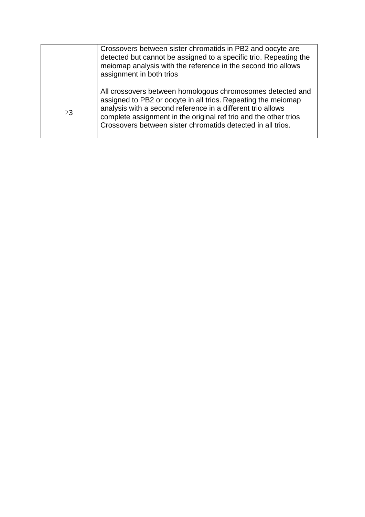|          | Crossovers between sister chromatids in PB2 and oocyte are<br>detected but cannot be assigned to a specific trio. Repeating the<br>meiomap analysis with the reference in the second trio allows<br>assignment in both trios                                                                                                  |
|----------|-------------------------------------------------------------------------------------------------------------------------------------------------------------------------------------------------------------------------------------------------------------------------------------------------------------------------------|
| $\geq$ 3 | All crossovers between homologous chromosomes detected and<br>assigned to PB2 or oocyte in all trios. Repeating the meiomap<br>analysis with a second reference in a different trio allows<br>complete assignment in the original ref trio and the other trios<br>Crossovers between sister chromatids detected in all trios. |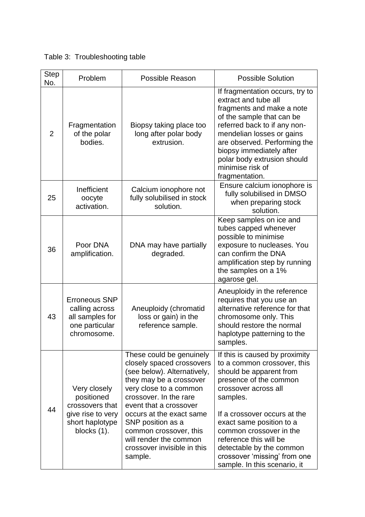| <b>Step</b><br>No. | Problem                                                                                              | <b>Possible Reason</b>                                                                                                                                                                                                                                                                                                                       | <b>Possible Solution</b>                                                                                                                                                                                                                                                                                                                                            |  |  |  |
|--------------------|------------------------------------------------------------------------------------------------------|----------------------------------------------------------------------------------------------------------------------------------------------------------------------------------------------------------------------------------------------------------------------------------------------------------------------------------------------|---------------------------------------------------------------------------------------------------------------------------------------------------------------------------------------------------------------------------------------------------------------------------------------------------------------------------------------------------------------------|--|--|--|
| $\overline{2}$     | Fragmentation<br>of the polar<br>bodies.                                                             | Biopsy taking place too<br>long after polar body<br>extrusion.                                                                                                                                                                                                                                                                               | If fragmentation occurs, try to<br>extract and tube all<br>fragments and make a note<br>of the sample that can be<br>referred back to if any non-<br>mendelian losses or gains<br>are observed. Performing the<br>biopsy immediately after<br>polar body extrusion should<br>minimise risk of<br>fragmentation.                                                     |  |  |  |
| 25                 | Inefficient<br>oocyte<br>activation.                                                                 | Calcium ionophore not<br>fully solubilised in stock<br>solution.                                                                                                                                                                                                                                                                             | Ensure calcium ionophore is<br>fully solubilised in DMSO<br>when preparing stock<br>solution.                                                                                                                                                                                                                                                                       |  |  |  |
| 36                 | Poor DNA<br>amplification.                                                                           | DNA may have partially<br>degraded.                                                                                                                                                                                                                                                                                                          | Keep samples on ice and<br>tubes capped whenever<br>possible to minimise<br>exposure to nucleases. You<br>can confirm the DNA<br>amplification step by running<br>the samples on a 1%<br>agarose gel.                                                                                                                                                               |  |  |  |
| 43                 | <b>Erroneous SNP</b><br>calling across<br>all samples for<br>one particular<br>chromosome.           | Aneuploidy (chromatid<br>loss or gain) in the<br>reference sample.                                                                                                                                                                                                                                                                           | Aneuploidy in the reference<br>requires that you use an<br>alternative reference for that<br>chromosome only. This<br>should restore the normal<br>haplotype patterning to the<br>samples                                                                                                                                                                           |  |  |  |
| 44                 | Very closely<br>positioned<br>crossovers that<br>give rise to very<br>short haplotype<br>blocks (1). | These could be genuinely<br>closely spaced crossovers<br>(see below). Alternatively,<br>they may be a crossover<br>very close to a common<br>crossover. In the rare<br>event that a crossover<br>occurs at the exact same<br>SNP position as a<br>common crossover, this<br>will render the common<br>crossover invisible in this<br>sample. | If this is caused by proximity<br>to a common crossover, this<br>should be apparent from<br>presence of the common<br>crossover across all<br>samples.<br>If a crossover occurs at the<br>exact same position to a<br>common crossover in the<br>reference this will be<br>detectable by the common<br>crossover 'missing' from one<br>sample. In this scenario, it |  |  |  |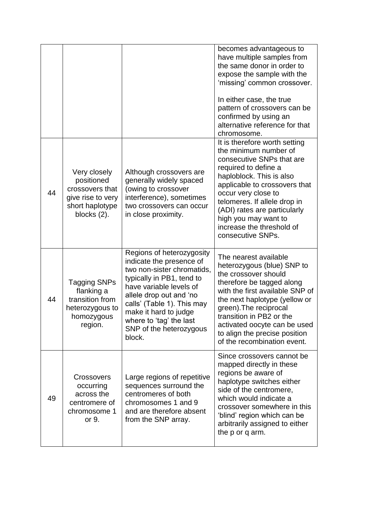|    |                                                                                                         |                                                                                                                                                                                                                                                                                               | becomes advantageous to<br>have multiple samples from<br>the same donor in order to<br>expose the sample with the<br>'missing' common crossover.<br>In either case, the true<br>pattern of crossovers can be<br>confirmed by using an<br>alternative reference for that<br>chromosome.                                                    |
|----|---------------------------------------------------------------------------------------------------------|-----------------------------------------------------------------------------------------------------------------------------------------------------------------------------------------------------------------------------------------------------------------------------------------------|-------------------------------------------------------------------------------------------------------------------------------------------------------------------------------------------------------------------------------------------------------------------------------------------------------------------------------------------|
| 44 | Very closely<br>positioned<br>crossovers that<br>give rise to very<br>short haplotype<br>blocks $(2)$ . | Although crossovers are<br>generally widely spaced<br>(owing to crossover<br>interference), sometimes<br>two crossovers can occur<br>in close proximity.                                                                                                                                      | It is therefore worth setting<br>the minimum number of<br>consecutive SNPs that are<br>required to define a<br>haploblock. This is also<br>applicable to crossovers that<br>occur very close to<br>telomeres. If allele drop in<br>(ADI) rates are particularly<br>high you may want to<br>increase the threshold of<br>consecutive SNPs. |
| 44 | <b>Tagging SNPs</b><br>flanking a<br>transition from<br>heterozygous to<br>homozygous<br>region.        | Regions of heterozygosity<br>indicate the presence of<br>two non-sister chromatids,<br>typically in PB1, tend to<br>have variable levels of<br>allele drop out and 'no<br>calls' (Table 1). This may<br>make it hard to judge<br>where to 'tag' the last<br>SNP of the heterozygous<br>block. | The nearest available<br>heterozygous (blue) SNP to<br>the crossover should<br>therefore be tagged along<br>with the first available SNP of<br>the next haplotype (yellow or<br>green). The reciprocal<br>transition in PB2 or the<br>activated oocyte can be used<br>to align the precise position<br>of the recombination event.        |
| 49 | Crossovers<br>occurring<br>across the<br>centromere of<br>chromosome 1<br>or 9.                         | Large regions of repetitive<br>sequences surround the<br>centromeres of both<br>chromosomes 1 and 9<br>and are therefore absent<br>from the SNP array.                                                                                                                                        | Since crossovers cannot be<br>mapped directly in these<br>regions be aware of<br>haplotype switches either<br>side of the centromere,<br>which would indicate a<br>crossover somewhere in this<br>'blind' region which can be<br>arbitrarily assigned to either<br>the p or q arm.                                                        |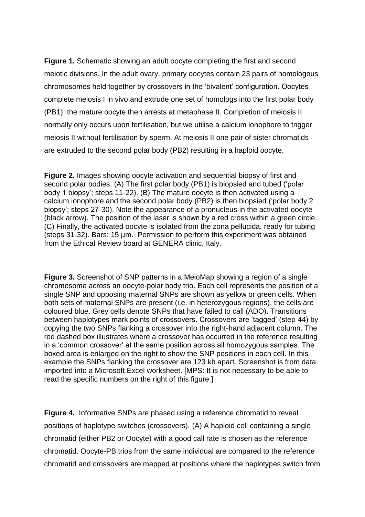**Figure 1.** Schematic showing an adult oocyte completing the first and second meiotic divisions. In the adult ovary, primary oocytes contain 23 pairs of homologous chromosomes held together by crossovers in the 'bivalent' configuration. Oocytes complete meiosis I in vivo and extrude one set of homologs into the first polar body (PB1), the mature oocyte then arrests at metaphase II. Completion of meiosis II normally only occurs upon fertilisation, but we utilise a calcium ionophore to trigger meiosis II without fertilisation by sperm. At meiosis II one pair of sister chromatids are extruded to the second polar body (PB2) resulting in a haploid oocyte.

**Figure 2.** Images showing oocyte activation and sequential biopsy of first and second polar bodies. (A) The first polar body (PB1) is biopsied and tubed ('polar body 1 biopsy'; steps 11-22). (B) The mature oocyte is then activated using a calcium ionophore and the second polar body (PB2) is then biopsied ('polar body 2 biopsy'; steps 27-30). Note the appearance of a pronucleus in the activated oocyte (black arrow). The position of the laser is shown by a red cross within a green circle. (C) Finally, the activated oocyte is isolated from the zona pellucida, ready for tubing (steps 31-32). Bars: 15 µm. Permission to perform this experiment was obtained from the Ethical Review board at GENERA clinic, Italy.

**Figure 3.** Screenshot of SNP patterns in a MeioMap showing a region of a single chromosome across an oocyte-polar body trio. Each cell represents the position of a single SNP and opposing maternal SNPs are shown as yellow or green cells. When both sets of maternal SNPs are present (i.e. in heterozygous regions), the cells are coloured blue. Grey cells denote SNPs that have failed to call (ADO). Transitions between haplotypes mark points of crossovers. Crossovers are 'tagged' (step 44) by copying the two SNPs flanking a crossover into the right-hand adjacent column. The red dashed box illustrates where a crossover has occurred in the reference resulting in a 'common crossover' at the same position across all homozygous samples. The boxed area is enlarged on the right to show the SNP positions in each cell. In this example the SNPs flanking the crossover are 123 kb apart. Screenshot is from data imported into a Microsoft Excel worksheet. [MPS: It is not necessary to be able to read the specific numbers on the right of this figure.]

**Figure 4.** Informative SNPs are phased using a reference chromatid to reveal positions of haplotype switches (crossovers). (A) A haploid cell containing a single chromatid (either PB2 or Oocyte) with a good call rate is chosen as the reference chromatid. Oocyte-PB trios from the same individual are compared to the reference chromatid and crossovers are mapped at positions where the haplotypes switch from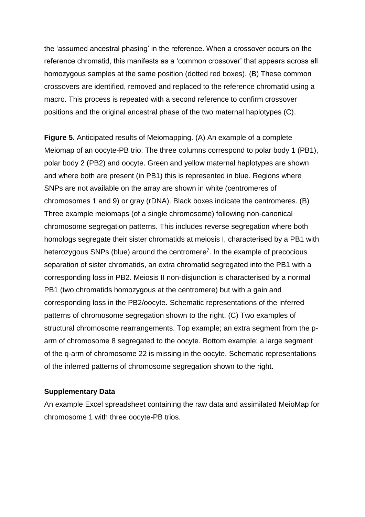the 'assumed ancestral phasing' in the reference. When a crossover occurs on the reference chromatid, this manifests as a 'common crossover' that appears across all homozygous samples at the same position (dotted red boxes). (B) These common crossovers are identified, removed and replaced to the reference chromatid using a macro. This process is repeated with a second reference to confirm crossover positions and the original ancestral phase of the two maternal haplotypes (C).

**Figure 5.** Anticipated results of Meiomapping. (A) An example of a complete Meiomap of an oocyte-PB trio. The three columns correspond to polar body 1 (PB1), polar body 2 (PB2) and oocyte. Green and yellow maternal haplotypes are shown and where both are present (in PB1) this is represented in blue. Regions where SNPs are not available on the array are shown in white (centromeres of chromosomes 1 and 9) or gray (rDNA). Black boxes indicate the centromeres. (B) Three example meiomaps (of a single chromosome) following non-canonical chromosome segregation patterns. This includes reverse segregation where both homologs segregate their sister chromatids at meiosis I, characterised by a PB1 with heterozygous SNPs (blue) around the centromere<sup>7</sup>. In the example of precocious separation of sister chromatids, an extra chromatid segregated into the PB1 with a corresponding loss in PB2. Meiosis II non-disjunction is characterised by a normal PB1 (two chromatids homozygous at the centromere) but with a gain and corresponding loss in the PB2/oocyte. Schematic representations of the inferred patterns of chromosome segregation shown to the right. (C) Two examples of structural chromosome rearrangements. Top example; an extra segment from the parm of chromosome 8 segregated to the oocyte. Bottom example; a large segment of the q-arm of chromosome 22 is missing in the oocyte. Schematic representations of the inferred patterns of chromosome segregation shown to the right.

#### **Supplementary Data**

An example Excel spreadsheet containing the raw data and assimilated MeioMap for chromosome 1 with three oocyte-PB trios.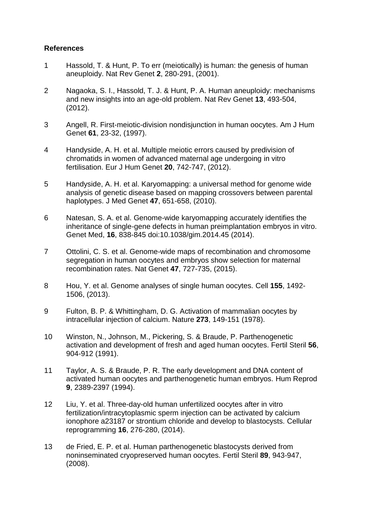# **References**

- 1 Hassold, T. & Hunt, P. To err (meiotically) is human: the genesis of human aneuploidy. Nat Rev Genet **2**, 280-291, (2001).
- 2 Nagaoka, S. I., Hassold, T. J. & Hunt, P. A. Human aneuploidy: mechanisms and new insights into an age-old problem. Nat Rev Genet **13**, 493-504, (2012).
- 3 Angell, R. First-meiotic-division nondisjunction in human oocytes. Am J Hum Genet **61**, 23-32, (1997).
- 4 Handyside, A. H. et al. Multiple meiotic errors caused by predivision of chromatids in women of advanced maternal age undergoing in vitro fertilisation. Eur J Hum Genet **20**, 742-747, (2012).
- 5 Handyside, A. H. et al. Karyomapping: a universal method for genome wide analysis of genetic disease based on mapping crossovers between parental haplotypes. J Med Genet **47**, 651-658, (2010).
- 6 Natesan, S. A. et al. Genome-wide karyomapping accurately identifies the inheritance of single-gene defects in human preimplantation embryos in vitro. Genet Med, **16**, 838-845 doi:10.1038/gim.2014.45 (2014).
- 7 Ottolini, C. S. et al. Genome-wide maps of recombination and chromosome segregation in human oocytes and embryos show selection for maternal recombination rates. Nat Genet **47**, 727-735, (2015).
- 8 Hou, Y. et al. Genome analyses of single human oocytes. Cell **155**, 1492- 1506, (2013).
- 9 Fulton, B. P. & Whittingham, D. G. Activation of mammalian oocytes by intracellular injection of calcium. Nature **273**, 149-151 (1978).
- 10 Winston, N., Johnson, M., Pickering, S. & Braude, P. Parthenogenetic activation and development of fresh and aged human oocytes. Fertil Steril **56**, 904-912 (1991).
- 11 Taylor, A. S. & Braude, P. R. The early development and DNA content of activated human oocytes and parthenogenetic human embryos. Hum Reprod **9**, 2389-2397 (1994).
- 12 Liu, Y. et al. Three-day-old human unfertilized oocytes after in vitro fertilization/intracytoplasmic sperm injection can be activated by calcium ionophore a23187 or strontium chloride and develop to blastocysts. Cellular reprogramming **16**, 276-280, (2014).
- 13 de Fried, E. P. et al. Human parthenogenetic blastocysts derived from noninseminated cryopreserved human oocytes. Fertil Steril **89**, 943-947, (2008).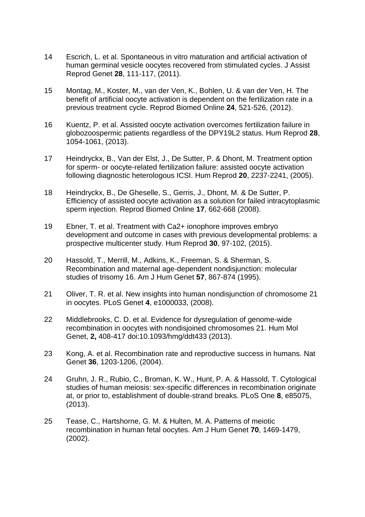- 14 Escrich, L. et al. Spontaneous in vitro maturation and artificial activation of human germinal vesicle oocytes recovered from stimulated cycles. J Assist Reprod Genet **28**, 111-117, (2011).
- 15 Montag, M., Koster, M., van der Ven, K., Bohlen, U. & van der Ven, H. The benefit of artificial oocyte activation is dependent on the fertilization rate in a previous treatment cycle. Reprod Biomed Online **24**, 521-526, (2012).
- 16 Kuentz, P. et al. Assisted oocyte activation overcomes fertilization failure in globozoospermic patients regardless of the DPY19L2 status. Hum Reprod **28**, 1054-1061, (2013).
- 17 Heindryckx, B., Van der Elst, J., De Sutter, P. & Dhont, M. Treatment option for sperm- or oocyte-related fertilization failure: assisted oocyte activation following diagnostic heterologous ICSI. Hum Reprod **20**, 2237-2241, (2005).
- 18 Heindryckx, B., De Gheselle, S., Gerris, J., Dhont, M. & De Sutter, P. Efficiency of assisted oocyte activation as a solution for failed intracytoplasmic sperm injection. Reprod Biomed Online **17**, 662-668 (2008).
- 19 Ebner, T. et al. Treatment with Ca2+ ionophore improves embryo development and outcome in cases with previous developmental problems: a prospective multicenter study. Hum Reprod **30**, 97-102, (2015).
- 20 Hassold, T., Merrill, M., Adkins, K., Freeman, S. & Sherman, S. Recombination and maternal age-dependent nondisjunction: molecular studies of trisomy 16. Am J Hum Genet **57**, 867-874 (1995).
- 21 Oliver, T. R. et al. New insights into human nondisjunction of chromosome 21 in oocytes. PLoS Genet **4**, e1000033, (2008).
- 22 Middlebrooks, C. D. et al. Evidence for dysregulation of genome-wide recombination in oocytes with nondisjoined chromosomes 21. Hum Mol Genet, **2,** 408-417 doi:10.1093/hmg/ddt433 (2013).
- 23 Kong, A. et al. Recombination rate and reproductive success in humans. Nat Genet **36**, 1203-1206, (2004).
- 24 Gruhn, J. R., Rubio, C., Broman, K. W., Hunt, P. A. & Hassold, T. Cytological studies of human meiosis: sex-specific differences in recombination originate at, or prior to, establishment of double-strand breaks. PLoS One **8**, e85075, (2013).
- 25 Tease, C., Hartshorne, G. M. & Hulten, M. A. Patterns of meiotic recombination in human fetal oocytes. Am J Hum Genet **70**, 1469-1479, (2002).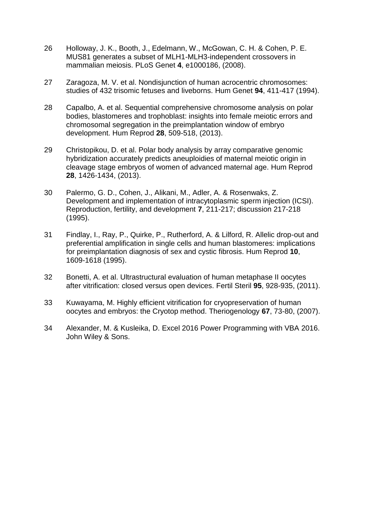- 26 Holloway, J. K., Booth, J., Edelmann, W., McGowan, C. H. & Cohen, P. E. MUS81 generates a subset of MLH1-MLH3-independent crossovers in mammalian meiosis. PLoS Genet **4**, e1000186, (2008).
- 27 Zaragoza, M. V. et al. Nondisjunction of human acrocentric chromosomes: studies of 432 trisomic fetuses and liveborns. Hum Genet **94**, 411-417 (1994).
- 28 Capalbo, A. et al. Sequential comprehensive chromosome analysis on polar bodies, blastomeres and trophoblast: insights into female meiotic errors and chromosomal segregation in the preimplantation window of embryo development. Hum Reprod **28**, 509-518, (2013).
- 29 Christopikou, D. et al. Polar body analysis by array comparative genomic hybridization accurately predicts aneuploidies of maternal meiotic origin in cleavage stage embryos of women of advanced maternal age. Hum Reprod **28**, 1426-1434, (2013).
- 30 Palermo, G. D., Cohen, J., Alikani, M., Adler, A. & Rosenwaks, Z. Development and implementation of intracytoplasmic sperm injection (ICSI). Reproduction, fertility, and development **7**, 211-217; discussion 217-218 (1995).
- 31 Findlay, I., Ray, P., Quirke, P., Rutherford, A. & Lilford, R. Allelic drop-out and preferential amplification in single cells and human blastomeres: implications for preimplantation diagnosis of sex and cystic fibrosis. Hum Reprod **10**, 1609-1618 (1995).
- 32 Bonetti, A. et al. Ultrastructural evaluation of human metaphase II oocytes after vitrification: closed versus open devices. Fertil Steril **95**, 928-935, (2011).
- 33 Kuwayama, M. Highly efficient vitrification for cryopreservation of human oocytes and embryos: the Cryotop method. Theriogenology **67**, 73-80, (2007).
- 34 Alexander, M. & Kusleika, D. Excel 2016 Power Programming with VBA 2016. John Wiley & Sons.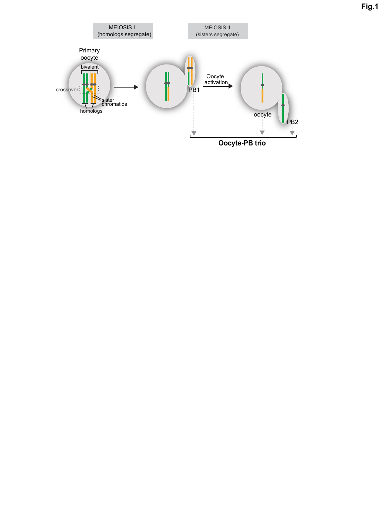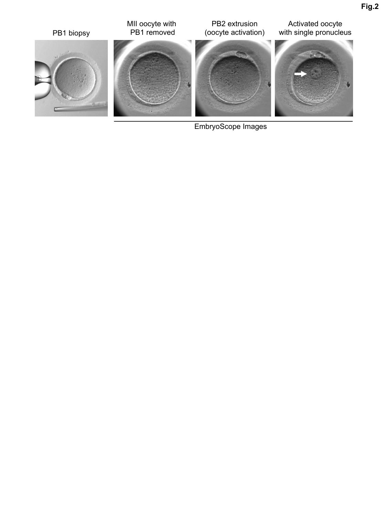

EmbryoScope Images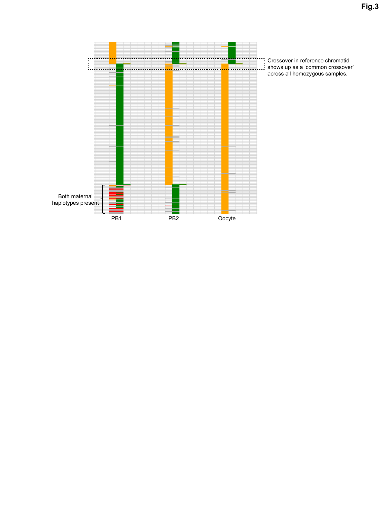